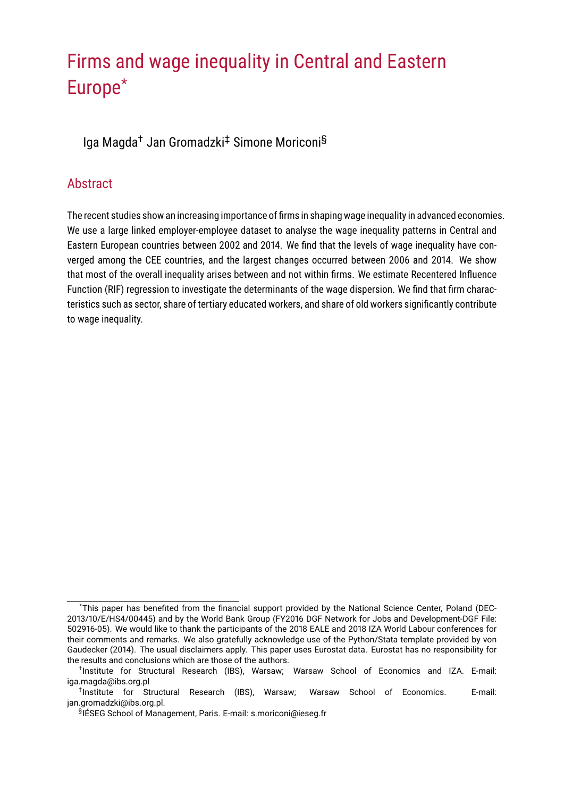# Firms and wage inequality in Central and Eastern Europe\*

Iga Magda† Jan Gromadzki‡ Simone Moriconi§

## Abstract

The recent studies show an increasing importance of firms in shaping wage inequality in advanced economies. We use a large linked employer-employee dataset to analyse the wage inequality patterns in Central and Eastern European countries between 2002 and 2014. We find that the levels of wage inequality have converged among the CEE countries, and the largest changes occurred between 2006 and 2014. We show that most of the overall inequality arises between and not within firms. We estimate Recentered Influence Function (RIF) regression to investigate the determinants of the wage dispersion. We find that firm characteristics such as sector, share of tertiary educated workers, and share of old workers significantly contribute to wage inequality.

<sup>\*</sup>This paper has benefited from the financial support provided by the National Science Center, Poland (DEC-2013/10/E/HS4/00445) and by the World Bank Group (FY2016 DGF Network for Jobs and Development-DGF File: 502916-05). We would like to thank the participants of the 2018 EALE and 2018 IZA World Labour conferences for their comments and remarks. We also gratefully acknowledge use of the Python/Stata template provided by von Gaudecker (2014). The usual disclaimers apply. This paper uses Eurostat data. Eurostat has no responsibility for the results and conclusions which are those of the authors.

<sup>&</sup>lt;sup>†</sup>Institute for Structural Research (IBS), Warsaw: Warsaw School of Economics and IZA. E-mail: iga.magda@ibs.org.pl

<sup>‡</sup> Institute for Structural Research (IBS), Warsaw; Warsaw School of Economics. E-mail: jan.gromadzki@ibs.org.pl.

<sup>§</sup>IÉSEG School of Management. Paris. E-mail: s.moriconi@ieseg.fr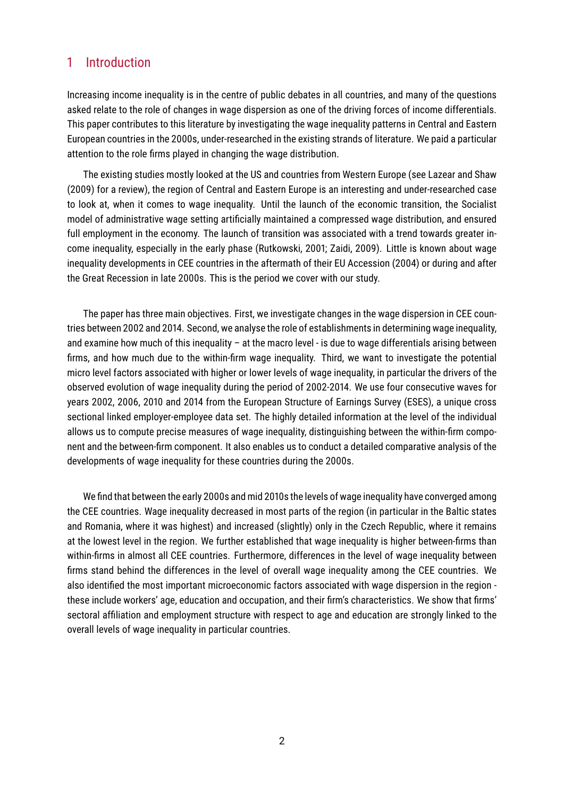### 1 Introduction

Increasing income inequality is in the centre of public debates in all countries, and many of the questions asked relate to the role of changes in wage dispersion as one of the driving forces of income differentials. This paper contributes to this literature by investigating the wage inequality patterns in Central and Eastern European countries in the 2000s, under-researched in the existing strands of literature. We paid a particular attention to the role firms played in changing the wage distribution.

The existing studies mostly looked at the US and countries from Western Europe (see Lazear and Shaw (2009) for a review), the region of Central and Eastern Europe is an interesting and under-researched case to look at, when it comes to wage inequality. Until the launch of the economic transition, the Socialist model of administrative wage setting artificially maintained a compressed wage distribution, and ensured full employment in the economy. The launch of transition was associated with a trend towards greater income inequality, especially in the early phase (Rutkowski, 2001; Zaidi, 2009). Little is known about wage inequality developments in CEE countries in the aftermath of their EU Accession (2004) or during and after the Great Recession in late 2000s. This is the period we cover with our study.

The paper has three main objectives. First, we investigate changes in the wage dispersion in CEE countries between 2002 and 2014. Second, we analyse the role of establishments in determining wage inequality, and examine how much of this inequality – at the macro level - is due to wage differentials arising between firms, and how much due to the within-firm wage inequality. Third, we want to investigate the potential micro level factors associated with higher or lower levels of wage inequality, in particular the drivers of the observed evolution of wage inequality during the period of 2002-2014. We use four consecutive waves for years 2002, 2006, 2010 and 2014 from the European Structure of Earnings Survey (ESES), a unique cross sectional linked employer-employee data set. The highly detailed information at the level of the individual allows us to compute precise measures of wage inequality, distinguishing between the within-firm component and the between-firm component. It also enables us to conduct a detailed comparative analysis of the developments of wage inequality for these countries during the 2000s.

We find that between the early 2000s and mid 2010s the levels of wage inequality have converged among the CEE countries. Wage inequality decreased in most parts of the region (in particular in the Baltic states and Romania, where it was highest) and increased (slightly) only in the Czech Republic, where it remains at the lowest level in the region. We further established that wage inequality is higher between-firms than within-firms in almost all CEE countries. Furthermore, differences in the level of wage inequality between firms stand behind the differences in the level of overall wage inequality among the CEE countries. We also identified the most important microeconomic factors associated with wage dispersion in the region these include workers' age, education and occupation, and their firm's characteristics. We show that firms' sectoral affiliation and employment structure with respect to age and education are strongly linked to the overall levels of wage inequality in particular countries.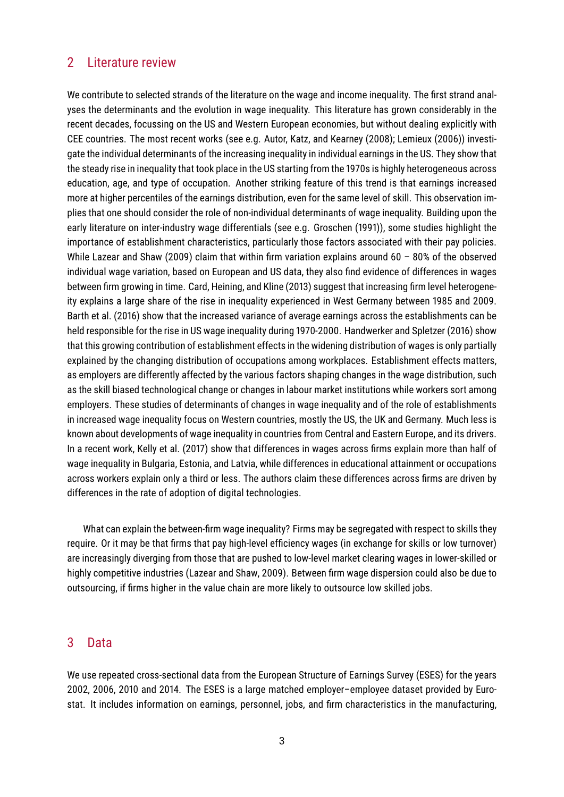### 2 Literature review

We contribute to selected strands of the literature on the wage and income inequality. The first strand analyses the determinants and the evolution in wage inequality. This literature has grown considerably in the recent decades, focussing on the US and Western European economies, but without dealing explicitly with CEE countries. The most recent works (see e.g. Autor, Katz, and Kearney (2008); Lemieux (2006)) investigate the individual determinants of the increasing inequality in individual earnings in the US. They show that the steady rise in inequality that took place in the US starting from the 1970s is highly heterogeneous across education, age, and type of occupation. Another striking feature of this trend is that earnings increased more at higher percentiles of the earnings distribution, even for the same level of skill. This observation implies that one should consider the role of non-individual determinants of wage inequality. Building upon the early literature on inter-industry wage differentials (see e.g. Groschen (1991)), some studies highlight the importance of establishment characteristics, particularly those factors associated with their pay policies. While Lazear and Shaw (2009) claim that within firm variation explains around 60 - 80% of the observed individual wage variation, based on European and US data, they also find evidence of differences in wages between firm growing in time. Card, Heining, and Kline (2013) suggest that increasing firm level heterogeneity explains a large share of the rise in inequality experienced in West Germany between 1985 and 2009. Barth et al. (2016) show that the increased variance of average earnings across the establishments can be held responsible for the rise in US wage inequality during 1970-2000. Handwerker and Spletzer (2016) show that this growing contribution of establishment effects in the widening distribution of wages is only partially explained by the changing distribution of occupations among workplaces. Establishment effects matters, as employers are differently affected by the various factors shaping changes in the wage distribution, such as the skill biased technological change or changes in labour market institutions while workers sort among employers. These studies of determinants of changes in wage inequality and of the role of establishments in increased wage inequality focus on Western countries, mostly the US, the UK and Germany. Much less is known about developments of wage inequality in countries from Central and Eastern Europe, and its drivers. In a recent work, Kelly et al. (2017) show that differences in wages across firms explain more than half of wage inequality in Bulgaria, Estonia, and Latvia, while differences in educational attainment or occupations across workers explain only a third or less. The authors claim these differences across firms are driven by differences in the rate of adoption of digital technologies.

What can explain the between-firm wage inequality? Firms may be segregated with respect to skills they require. Or it may be that firms that pay high-level efficiency wages (in exchange for skills or low turnover) are increasingly diverging from those that are pushed to low-level market clearing wages in lower-skilled or highly competitive industries (Lazear and Shaw, 2009). Between firm wage dispersion could also be due to outsourcing, if firms higher in the value chain are more likely to outsource low skilled jobs.

### 3 Data

We use repeated cross-sectional data from the European Structure of Earnings Survey (ESES) for the years 2002, 2006, 2010 and 2014. The ESES is a large matched employer–employee dataset provided by Eurostat. It includes information on earnings, personnel, jobs, and firm characteristics in the manufacturing,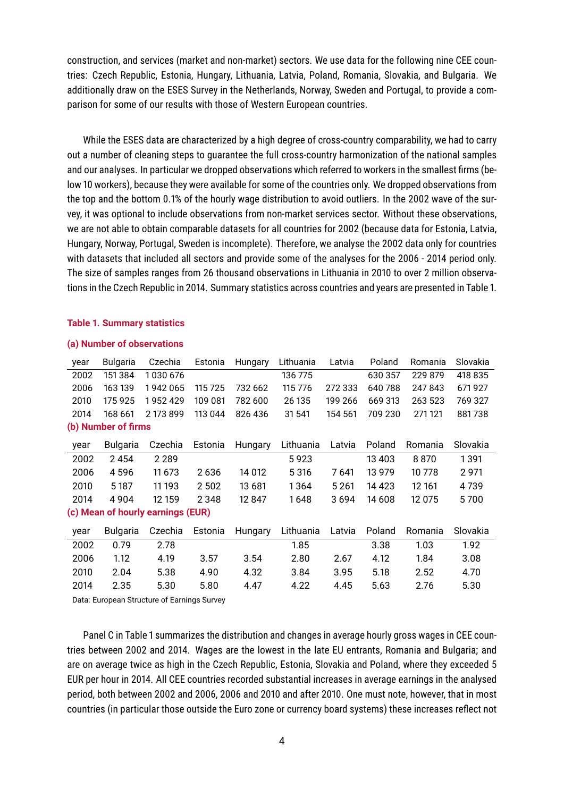construction, and services (market and non-market) sectors. We use data for the following nine CEE countries: Czech Republic, Estonia, Hungary, Lithuania, Latvia, Poland, Romania, Slovakia, and Bulgaria. We additionally draw on the ESES Survey in the Netherlands, Norway, Sweden and Portugal, to provide a comparison for some of our results with those of Western European countries.

While the ESES data are characterized by a high degree of cross-country comparability, we had to carry out a number of cleaning steps to guarantee the full cross-country harmonization of the national samples and our analyses. In particular we dropped observations which referred to workers in the smallest firms (below 10 workers), because they were available for some of the countries only. We dropped observations from the top and the bottom 0.1% of the hourly wage distribution to avoid outliers. In the 2002 wave of the survey, it was optional to include observations from non-market services sector. Without these observations, we are not able to obtain comparable datasets for all countries for 2002 (because data for Estonia, Latvia, Hungary, Norway, Portugal, Sweden is incomplete). Therefore, we analyse the 2002 data only for countries with datasets that included all sectors and provide some of the analyses for the 2006 - 2014 period only. The size of samples ranges from 26 thousand observations in Lithuania in 2010 to over 2 million observations in the Czech Republic in 2014. Summary statistics across countries and years are presented in Table 1.

#### **Table 1. Summary statistics**

#### **(a) Number of observations**

| year | Bulgaria            | Czechia                           | Estonia | Hungary | Lithuania | Latvia  | Poland  | Romania | Slovakia |
|------|---------------------|-----------------------------------|---------|---------|-----------|---------|---------|---------|----------|
| 2002 | 151 384             | 1030676                           |         |         | 136 775   |         | 630 357 | 229 879 | 418 835  |
| 2006 | 163 139             | 1942065                           | 115725  | 732 662 | 115 776   | 272 333 | 640788  | 247843  | 671927   |
| 2010 | 175925              | 1952429                           | 109 081 | 782 600 | 26 135    | 199 266 | 669 313 | 263 523 | 769 327  |
| 2014 | 168 661             | 2 173 899                         | 113 044 | 826 436 | 31 541    | 154 561 | 709 230 | 271 121 | 881738   |
|      | (b) Number of firms |                                   |         |         |           |         |         |         |          |
| year | Bulgaria            | Czechia                           | Estonia | Hungary | Lithuania | Latvia  | Poland  | Romania | Slovakia |
| 2002 | 2454                | 2 2 8 9                           |         |         | 5923      |         | 13 403  | 8870    | 1391     |
| 2006 | 4596                | 11 673                            | 2636    | 14 012  | 5316      | 7641    | 13 979  | 10 778  | 2971     |
| 2010 | 5 1 8 7             | 11 193                            | 2 5 0 2 | 13 681  | 1364      | 5 2 6 1 | 14 4 23 | 12 161  | 4 7 3 9  |
| 2014 | 4 9 0 4             | 12 159                            | 2 3 4 8 | 12847   | 1648      | 3694    | 14 608  | 12 075  | 5700     |
|      |                     | (c) Mean of hourly earnings (EUR) |         |         |           |         |         |         |          |
| year | <b>Bulgaria</b>     | Czechia                           | Estonia | Hungary | Lithuania | Latvia  | Poland  | Romania | Slovakia |
| 2002 | 0.79                | 2.78                              |         |         | 1.85      |         | 3.38    | 1.03    | 1.92     |
| 2006 | 1.12                | 4.19                              | 3.57    | 3.54    | 2.80      | 2.67    | 4.12    | 1.84    | 3.08     |
| 2010 | 2.04                | 5.38                              | 4.90    | 4.32    | 3.84      | 3.95    | 5.18    | 2.52    | 4.70     |
| 2014 | 2.35                | 5.30                              | 5.80    | 4.47    | 4.22      | 4.45    | 5.63    | 2.76    | 5.30     |

Data: European Structure of Earnings Survey

Panel C in Table 1 summarizes the distribution and changes in average hourly gross wages in CEE countries between 2002 and 2014. Wages are the lowest in the late EU entrants, Romania and Bulgaria; and are on average twice as high in the Czech Republic, Estonia, Slovakia and Poland, where they exceeded 5 EUR per hour in 2014. All CEE countries recorded substantial increases in average earnings in the analysed period, both between 2002 and 2006, 2006 and 2010 and after 2010. One must note, however, that in most countries (in particular those outside the Euro zone or currency board systems) these increases reflect not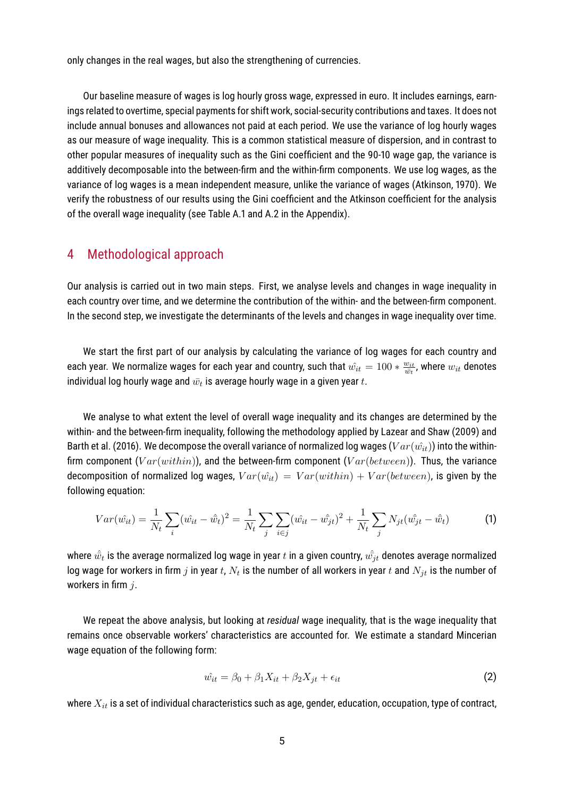only changes in the real wages, but also the strengthening of currencies.

Our baseline measure of wages is log hourly gross wage, expressed in euro. It includes earnings, earnings related to overtime, special payments for shift work, social-security contributions and taxes. It does not include annual bonuses and allowances not paid at each period. We use the variance of log hourly wages as our measure of wage inequality. This is a common statistical measure of dispersion, and in contrast to other popular measures of inequality such as the Gini coefficient and the 90-10 wage gap, the variance is additively decomposable into the between-firm and the within-firm components. We use log wages, as the variance of log wages is a mean independent measure, unlike the variance of wages (Atkinson, 1970). We verify the robustness of our results using the Gini coefficient and the Atkinson coefficient for the analysis of the overall wage inequality (see Table A.1 and A.2 in the Appendix).

### 4 Methodological approach

Our analysis is carried out in two main steps. First, we analyse levels and changes in wage inequality in each country over time, and we determine the contribution of the within- and the between-firm component. In the second step, we investigate the determinants of the levels and changes in wage inequality over time.

We start the first part of our analysis by calculating the variance of log wages for each country and each year. We normalize wages for each year and country, such that  $\hat{w_{it}} = 100 * \frac{w_{it}}{\hat{m}t}$  $\frac{w_{it}}{\bar{w_t}}$ , where  $w_{it}$  denotes individual log hourly wage and  $\bar{w}_t$  is average hourly wage in a given year  $t.$ 

We analyse to what extent the level of overall wage inequality and its changes are determined by the within- and the between-firm inequality, following the methodology applied by Lazear and Shaw (2009) and Barth et al. (2016). We decompose the overall variance of normalized log wages ( $Var(\hat{w_{it}})$ ) into the withinfirm component ( $Var(within)$ ), and the between-firm component ( $Var(between)$ ). Thus, the variance decomposition of normalized log wages,  $Var(\hat{w_{it}}) = Var(within) + Var(between)$ , is given by the following equation:

$$
Var(\hat{w_{it}}) = \frac{1}{N_t} \sum_{i} (\hat{w_{it}} - \hat{\bar{w}_t})^2 = \frac{1}{N_t} \sum_{j} \sum_{i \in j} (\hat{w_{it}} - \hat{\bar{w_{jt}}})^2 + \frac{1}{N_t} \sum_{j} N_{jt} (\hat{\bar{w_{jt}}} - \hat{\bar{w}_t})
$$
(1)

where  $\hat{\bar{w_t}}$  is the average normalized log wage in year  $t$  in a given country,  $\hat{w_{jt}}$  denotes average normalized log wage for workers in firm  $j$  in year  $t$ ,  $N_t$  is the number of all workers in year  $t$  and  $N_{jt}$  is the number of workers in firm  $i$ .

We repeat the above analysis, but looking at *residual* wage inequality, that is the wage inequality that remains once observable workers' characteristics are accounted for. We estimate a standard Mincerian wage equation of the following form:

$$
\hat{w_{it}} = \beta_0 + \beta_1 X_{it} + \beta_2 X_{jt} + \epsilon_{it} \tag{2}
$$

where  $X_{it}$  is a set of individual characteristics such as age, gender, education, occupation, type of contract,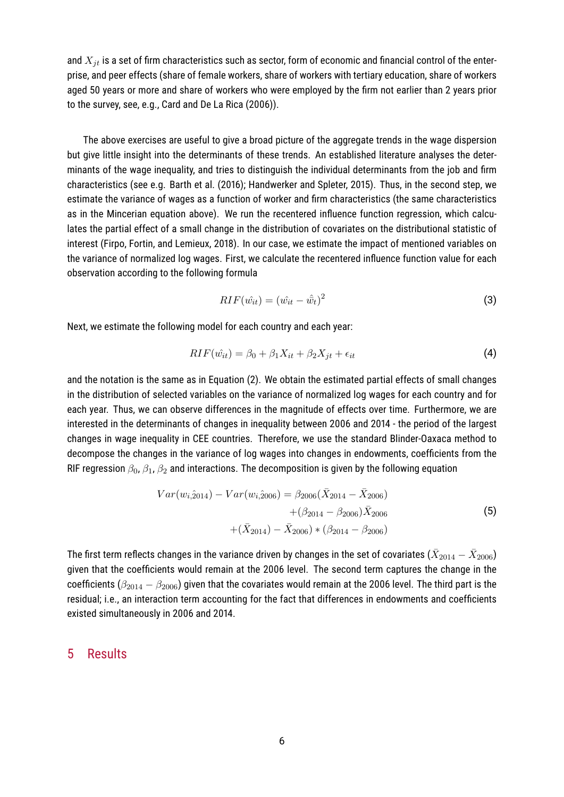and  $X_{it}$  is a set of firm characteristics such as sector, form of economic and financial control of the enterprise, and peer effects (share of female workers, share of workers with tertiary education, share of workers aged 50 years or more and share of workers who were employed by the firm not earlier than 2 years prior to the survey, see, e.g., Card and De La Rica (2006)).

The above exercises are useful to give a broad picture of the aggregate trends in the wage dispersion but give little insight into the determinants of these trends. An established literature analyses the determinants of the wage inequality, and tries to distinguish the individual determinants from the job and firm characteristics (see e.g. Barth et al. (2016); Handwerker and Spleter, 2015). Thus, in the second step, we estimate the variance of wages as a function of worker and firm characteristics (the same characteristics as in the Mincerian equation above). We run the recentered influence function regression, which calculates the partial effect of a small change in the distribution of covariates on the distributional statistic of interest (Firpo, Fortin, and Lemieux, 2018). In our case, we estimate the impact of mentioned variables on the variance of normalized log wages. First, we calculate the recentered influence function value for each observation according to the following formula

$$
RIF(\hat{w_{it}}) = (\hat{w_{it}} - \hat{\bar{w}}_t)^2
$$
\n(3)

Next, we estimate the following model for each country and each year:

$$
RIF(\hat{w_{it}}) = \beta_0 + \beta_1 X_{it} + \beta_2 X_{jt} + \epsilon_{it}
$$
\n
$$
\tag{4}
$$

and the notation is the same as in Equation (2). We obtain the estimated partial effects of small changes in the distribution of selected variables on the variance of normalized log wages for each country and for each year. Thus, we can observe differences in the magnitude of effects over time. Furthermore, we are interested in the determinants of changes in inequality between 2006 and 2014 - the period of the largest changes in wage inequality in CEE countries. Therefore, we use the standard Blinder-Oaxaca method to decompose the changes in the variance of log wages into changes in endowments, coefficients from the RIF regression  $\beta_0$ ,  $\beta_1$ ,  $\beta_2$  and interactions. The decomposition is given by the following equation

$$
Var(w_{i,2014}) - Var(w_{i,2006}) = \beta_{2006}(\bar{X}_{2014} - \bar{X}_{2006}) + (\beta_{2014} - \beta_{2006})\bar{X}_{2006} + (\bar{X}_{2014}) - \bar{X}_{2006}) * (\beta_{2014} - \beta_{2006})
$$
\n(5)

The first term reflects changes in the variance driven by changes in the set of covariates ( $\bar{X}_{2014} - \bar{X}_{2006}$ ) given that the coefficients would remain at the 2006 level. The second term captures the change in the coefficients ( $\beta_{2014} - \beta_{2006}$ ) given that the covariates would remain at the 2006 level. The third part is the residual; i.e., an interaction term accounting for the fact that differences in endowments and coefficients existed simultaneously in 2006 and 2014.

### 5 Results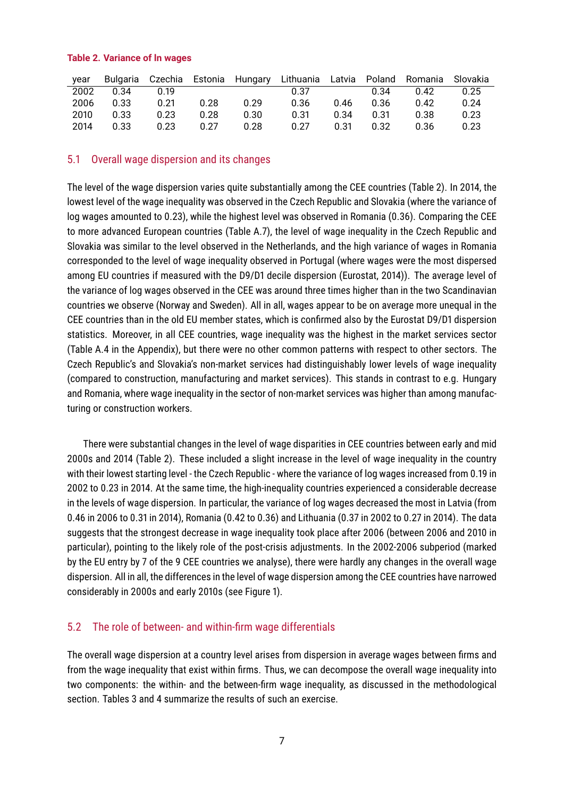#### **Table 2. Variance of ln wages**

| vear |      |      |      |      | Bulgaria Czechia Estonia Hungary Lithuania Latvia Poland Romania |      |      |      | Slovakia |
|------|------|------|------|------|------------------------------------------------------------------|------|------|------|----------|
| 2002 | 0.34 | በ 19 |      |      | 0.37                                                             |      | 0.34 | 0.42 | 0.25     |
| 2006 | 0.33 | 0.21 | 0.28 | በ 29 | 0.36                                                             | 0.46 | 0.36 | 0.42 | 0.24     |
| 2010 | 0.33 | 0.23 | 0.28 | 0.30 | 0.31                                                             | 0.34 | 0.31 | 0.38 | 0.23     |
| 2014 | 0.33 | 0.23 | 0.27 | 0.28 | 0.27                                                             | 0.31 | 0.32 | 0.36 | 0.23     |

### 5.1 Overall wage dispersion and its changes

The level of the wage dispersion varies quite substantially among the CEE countries (Table 2). In 2014, the lowest level of the wage inequality was observed in the Czech Republic and Slovakia (where the variance of log wages amounted to 0.23), while the highest level was observed in Romania (0.36). Comparing the CEE to more advanced European countries (Table A.7), the level of wage inequality in the Czech Republic and Slovakia was similar to the level observed in the Netherlands, and the high variance of wages in Romania corresponded to the level of wage inequality observed in Portugal (where wages were the most dispersed among EU countries if measured with the D9/D1 decile dispersion (Eurostat, 2014)). The average level of the variance of log wages observed in the CEE was around three times higher than in the two Scandinavian countries we observe (Norway and Sweden). All in all, wages appear to be on average more unequal in the CEE countries than in the old EU member states, which is confirmed also by the Eurostat D9/D1 dispersion statistics. Moreover, in all CEE countries, wage inequality was the highest in the market services sector (Table A.4 in the Appendix), but there were no other common patterns with respect to other sectors. The Czech Republic's and Slovakia's non-market services had distinguishably lower levels of wage inequality (compared to construction, manufacturing and market services). This stands in contrast to e.g. Hungary and Romania, where wage inequality in the sector of non-market services was higher than among manufacturing or construction workers.

There were substantial changes in the level of wage disparities in CEE countries between early and mid 2000s and 2014 (Table 2). These included a slight increase in the level of wage inequality in the country with their lowest starting level - the Czech Republic - where the variance of log wages increased from 0.19 in 2002 to 0.23 in 2014. At the same time, the high-inequality countries experienced a considerable decrease in the levels of wage dispersion. In particular, the variance of log wages decreased the most in Latvia (from 0.46 in 2006 to 0.31 in 2014), Romania (0.42 to 0.36) and Lithuania (0.37 in 2002 to 0.27 in 2014). The data suggests that the strongest decrease in wage inequality took place after 2006 (between 2006 and 2010 in particular), pointing to the likely role of the post-crisis adjustments. In the 2002-2006 subperiod (marked by the EU entry by 7 of the 9 CEE countries we analyse), there were hardly any changes in the overall wage dispersion. All in all, the differences in the level of wage dispersion among the CEE countries have narrowed considerably in 2000s and early 2010s (see Figure 1).

### 5.2 The role of between- and within-firm wage differentials

The overall wage dispersion at a country level arises from dispersion in average wages between firms and from the wage inequality that exist within firms. Thus, we can decompose the overall wage inequality into two components: the within- and the between-firm wage inequality, as discussed in the methodological section. Tables 3 and 4 summarize the results of such an exercise.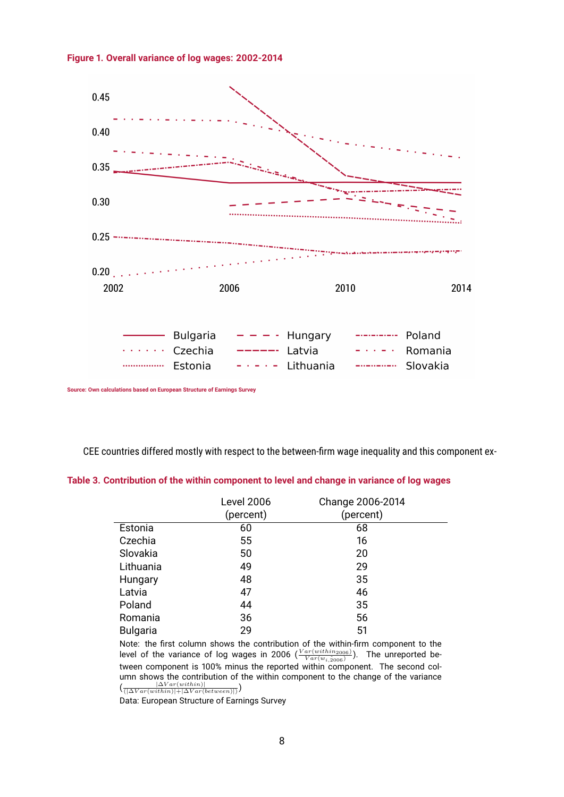**Figure 1. Overall variance of log wages: 2002-2014**



**Source: Own calculations based on European Structure of Earnings Survey**

CEE countries differed mostly with respect to the between-firm wage inequality and this component ex-

### **Table 3. Contribution of the within component to level and change in variance of log wages**

|                 | <b>Level 2006</b><br>(percent) | Change 2006-2014<br>(percent) |
|-----------------|--------------------------------|-------------------------------|
| Estonia         | 60                             | 68                            |
| Czechia         | 55                             | 16                            |
| Slovakia        | 50                             | 20                            |
| Lithuania       | 49                             | 29                            |
| Hungary         | 48                             | 35                            |
| Latvia          | 47                             | 46                            |
| Poland          | 44                             | 35                            |
| Romania         | 36                             | 56                            |
| <b>Bulgaria</b> | 29                             | 51                            |

Note: the first column shows the contribution of the within-firm component to the level of the variance of log wages in 2006  $(\frac{Var(within_{2006})}{Var(w_{i,\hat{2006}})})$ . The unreported between component is 100% minus the reported within component. The second column shows the contribution of the within component to the change of the variance

 $\left(\frac{\left|\Delta Var (within)\right|}{\left(\left|\Delta Var (within)\right|+\left|\Delta Var (between)\right|\right)}\right)$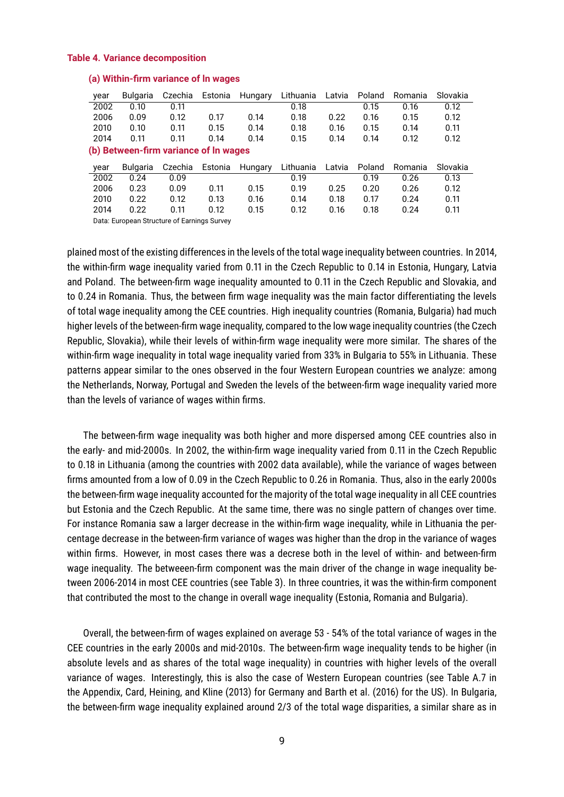#### **Table 4. Variance decomposition**

| year                                  | Bulgaria        | Czechia | Estonia | Hungary | Lithuania | Latvia | Poland | Romania | Slovakia |
|---------------------------------------|-----------------|---------|---------|---------|-----------|--------|--------|---------|----------|
| 2002                                  | 0.10            | 0.11    |         |         | 0.18      |        | 0.15   | 0.16    | 0.12     |
| 2006                                  | 0.09            | 0.12    | 0.17    | 0.14    | 0.18      | 0.22   | 0.16   | 0.15    | 0.12     |
| 2010                                  | 0.10            | 0.11    | 0.15    | 0.14    | 0.18      | 0.16   | 0.15   | 0.14    | 0.11     |
| 2014                                  | 0.11            | 0.11    | 0.14    | 0.14    | 0.15      | 0.14   | 0.14   | 0.12    | 0.12     |
| (b) Between-firm variance of In wages |                 |         |         |         |           |        |        |         |          |
| year                                  | <b>Bulgaria</b> | Czechia | Estonia | Hungary | Lithuania | Latvia | Poland | Romania | Slovakia |
| 2002                                  | 0.24            | 0.09    |         |         | 0.19      |        | 0.19   | 0.26    | 0.13     |
| 2006                                  | 0.23            | 0.09    | 0.11    | 0.15    | 0.19      | 0.25   | 0.20   | 0.26    | 0.12     |
| 2010                                  | 0.22            | 0.12    | 0.13    | 0.16    | 0.14      | 0.18   | 0.17   | 0.24    | 0.11     |
| 2014                                  | 0.22            | 0.11    | 0.12    | 0.15    | 0.12      | 0.16   | 0.18   | 0.24    | 0.11     |

#### **(a) Within-firm variance of ln wages**

Data: European Structure of Earnings Survey

plained most of the existing differences in the levels of the total wage inequality between countries. In 2014, the within-firm wage inequality varied from 0.11 in the Czech Republic to 0.14 in Estonia, Hungary, Latvia and Poland. The between-firm wage inequality amounted to 0.11 in the Czech Republic and Slovakia, and to 0.24 in Romania. Thus, the between firm wage inequality was the main factor differentiating the levels of total wage inequality among the CEE countries. High inequality countries (Romania, Bulgaria) had much higher levels of the between-firm wage inequality, compared to the low wage inequality countries (the Czech Republic, Slovakia), while their levels of within-firm wage inequality were more similar. The shares of the within-firm wage inequality in total wage inequality varied from 33% in Bulgaria to 55% in Lithuania. These patterns appear similar to the ones observed in the four Western European countries we analyze: among the Netherlands, Norway, Portugal and Sweden the levels of the between-firm wage inequality varied more than the levels of variance of wages within firms.

The between-firm wage inequality was both higher and more dispersed among CEE countries also in the early- and mid-2000s. In 2002, the within-firm wage inequality varied from 0.11 in the Czech Republic to 0.18 in Lithuania (among the countries with 2002 data available), while the variance of wages between firms amounted from a low of 0.09 in the Czech Republic to 0.26 in Romania. Thus, also in the early 2000s the between-firm wage inequality accounted for the majority of the total wage inequality in all CEE countries but Estonia and the Czech Republic. At the same time, there was no single pattern of changes over time. For instance Romania saw a larger decrease in the within-firm wage inequality, while in Lithuania the percentage decrease in the between-firm variance of wages was higher than the drop in the variance of wages within firms. However, in most cases there was a decrese both in the level of within- and between-firm wage inequality. The betweeen-firm component was the main driver of the change in wage inequality between 2006-2014 in most CEE countries (see Table 3). In three countries, it was the within-firm component that contributed the most to the change in overall wage inequality (Estonia, Romania and Bulgaria).

Overall, the between-firm of wages explained on average 53 - 54% of the total variance of wages in the CEE countries in the early 2000s and mid-2010s. The between-firm wage inequality tends to be higher (in absolute levels and as shares of the total wage inequality) in countries with higher levels of the overall variance of wages. Interestingly, this is also the case of Western European countries (see Table A.7 in the Appendix, Card, Heining, and Kline (2013) for Germany and Barth et al. (2016) for the US). In Bulgaria, the between-firm wage inequality explained around 2/3 of the total wage disparities, a similar share as in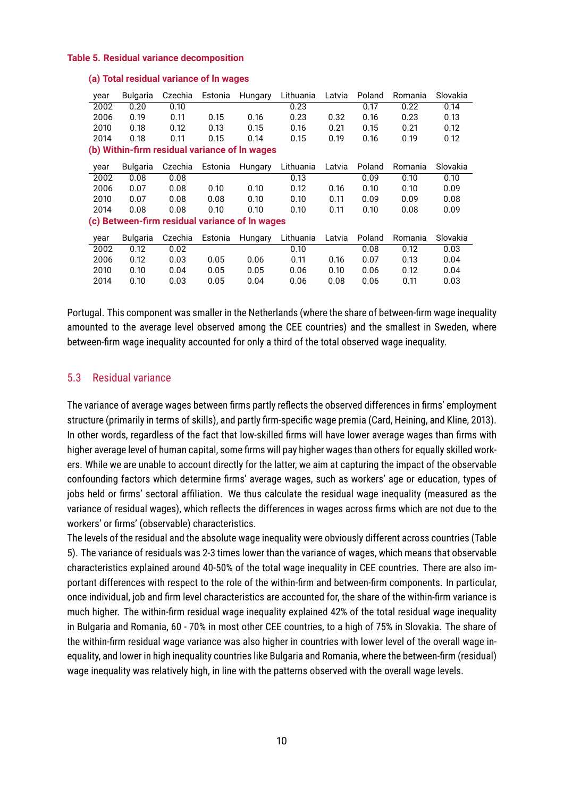#### **Table 5. Residual variance decomposition**

| year                                          | Bulgaria | Czechia | Estonia | Hungary                                        | Lithuania | Latvia | Poland | Romania | Slovakia |  |
|-----------------------------------------------|----------|---------|---------|------------------------------------------------|-----------|--------|--------|---------|----------|--|
| 2002                                          | 0.20     | 0.10    |         |                                                | 0.23      |        | 0.17   | 0.22    | 0.14     |  |
| 2006                                          | 0.19     | 0.11    | 0.15    | 0.16                                           | 0.23      | 0.32   | 0.16   | 0.23    | 0.13     |  |
| 2010                                          | 0.18     | 0.12    | 0.13    | 0.15                                           | 0.16      | 0.21   | 0.15   | 0.21    | 0.12     |  |
| 2014                                          | 0.18     | 0.11    | 0.15    | 0.14                                           | 0.15      | 0.19   | 0.16   | 0.19    | 0.12     |  |
| (b) Within-firm residual variance of In wages |          |         |         |                                                |           |        |        |         |          |  |
| year                                          | Bulgaria | Czechia | Estonia | Hungary                                        | Lithuania | Latvia | Poland | Romania | Slovakia |  |
| 2002                                          | 0.08     | 0.08    |         |                                                | 0.13      |        | 0.09   | 0.10    | 0.10     |  |
| 2006                                          | 0.07     | 0.08    | 0.10    | 0.10                                           | 0.12      | 0.16   | 0.10   | 0.10    | 0.09     |  |
| 2010                                          | 0.07     | 0.08    | 0.08    | 0.10                                           | 0.10      | 0.11   | 0.09   | 0.09    | 0.08     |  |
| 2014                                          | 0.08     | 0.08    | 0.10    | 0.10                                           | 0.10      | 0.11   | 0.10   | 0.08    | 0.09     |  |
|                                               |          |         |         | (c) Between-firm residual variance of In wages |           |        |        |         |          |  |
| year                                          | Bulgaria | Czechia | Estonia | Hungary                                        | Lithuania | Latvia | Poland | Romania | Slovakia |  |
| 2002                                          | 0.12     | 0.02    |         |                                                | 0.10      |        | 0.08   | 0.12    | 0.03     |  |
| 2006                                          | 0.12     | 0.03    | 0.05    | 0.06                                           | 0.11      | 0.16   | 0.07   | 0.13    | 0.04     |  |
| 2010                                          | 0.10     | 0.04    | 0.05    | 0.05                                           | 0.06      | 0.10   | 0.06   | 0.12    | 0.04     |  |
| 2014                                          | 0.10     | 0.03    | 0.05    | 0.04                                           | 0.06      | 0.08   | 0.06   | 0.11    | 0.03     |  |

#### **(a) Total residual variance of ln wages**

Portugal. This component was smaller in the Netherlands (where the share of between-firm wage inequality amounted to the average level observed among the CEE countries) and the smallest in Sweden, where between-firm wage inequality accounted for only a third of the total observed wage inequality.

### 5.3 Residual variance

The variance of average wages between firms partly reflects the observed differences in firms' employment structure (primarily in terms of skills), and partly firm-specific wage premia (Card, Heining, and Kline, 2013). In other words, regardless of the fact that low-skilled firms will have lower average wages than firms with higher average level of human capital, some firms will pay higher wages than others for equally skilled workers. While we are unable to account directly for the latter, we aim at capturing the impact of the observable confounding factors which determine firms' average wages, such as workers' age or education, types of jobs held or firms' sectoral affiliation. We thus calculate the residual wage inequality (measured as the variance of residual wages), which reflects the differences in wages across firms which are not due to the workers' or firms' (observable) characteristics.

The levels of the residual and the absolute wage inequality were obviously different across countries (Table 5). The variance of residuals was 2-3 times lower than the variance of wages, which means that observable characteristics explained around 40-50% of the total wage inequality in CEE countries. There are also important differences with respect to the role of the within-firm and between-firm components. In particular, once individual, job and firm level characteristics are accounted for, the share of the within-firm variance is much higher. The within-firm residual wage inequality explained 42% of the total residual wage inequality in Bulgaria and Romania, 60 - 70% in most other CEE countries, to a high of 75% in Slovakia. The share of the within-firm residual wage variance was also higher in countries with lower level of the overall wage inequality, and lower in high inequality countries like Bulgaria and Romania, where the between-firm (residual) wage inequality was relatively high, in line with the patterns observed with the overall wage levels.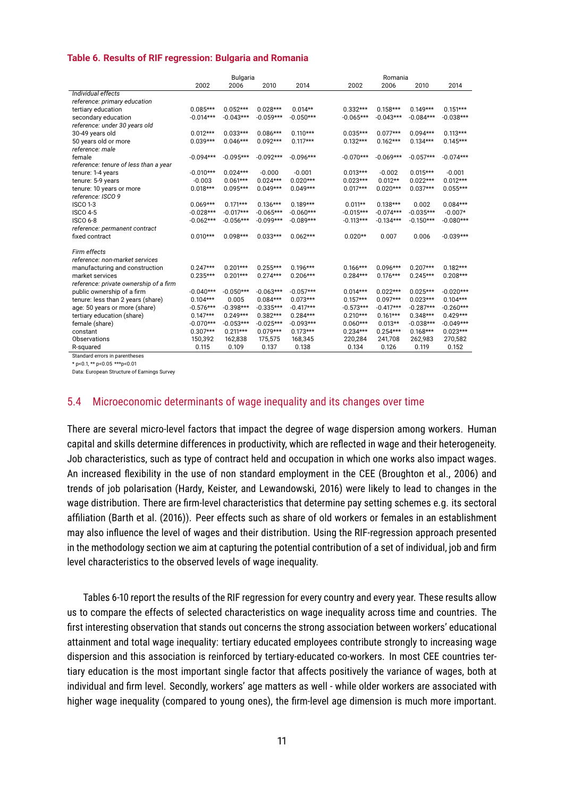#### **Table 6. Results of RIF regression: Bulgaria and Romania**

|                                        | Bulgaria    |             |             |             | Romania     |             |             |             |  |
|----------------------------------------|-------------|-------------|-------------|-------------|-------------|-------------|-------------|-------------|--|
|                                        | 2002        | 2006        | 2010        | 2014        | 2002        | 2006        | 2010        | 2014        |  |
| Individual effects                     |             |             |             |             |             |             |             |             |  |
| reference: primary education           |             |             |             |             |             |             |             |             |  |
| tertiary education                     | $0.085***$  | $0.052***$  | $0.028***$  | $0.014**$   | $0.332***$  | $0.158***$  | $0.149***$  | $0.151***$  |  |
| secondary education                    | $-0.014***$ | $-0.043***$ | $-0.059***$ | $-0.050***$ | $-0.065***$ | $-0.043***$ | $-0.084***$ | $-0.038***$ |  |
| reference: under 30 years old          |             |             |             |             |             |             |             |             |  |
| 30-49 years old                        | $0.012***$  | $0.033***$  | $0.086***$  | $0.110***$  | $0.035***$  | $0.077***$  | $0.094***$  | $0.113***$  |  |
| 50 years old or more                   | $0.039***$  | $0.046***$  | $0.092***$  | $0.117***$  | $0.132***$  | $0.162***$  | $0.134***$  | $0.145***$  |  |
| reference: male                        |             |             |             |             |             |             |             |             |  |
| female                                 | $-0.094***$ | $-0.095***$ | $-0.092***$ | $-0.096***$ | $-0.070***$ | $-0.069***$ | $-0.057***$ | $-0.074***$ |  |
| reference: tenure of less than a year  |             |             |             |             |             |             |             |             |  |
| tenure: 1-4 years                      | $-0.010***$ | $0.024***$  | $-0.000$    | $-0.001$    | $0.013***$  | $-0.002$    | $0.015***$  | $-0.001$    |  |
| tenure: 5-9 years                      | $-0.003$    | $0.061***$  | $0.024***$  | $0.020***$  | $0.023***$  | $0.012**$   | $0.022***$  | $0.012***$  |  |
| tenure: 10 years or more               | $0.018***$  | $0.095***$  | $0.049***$  | $0.049***$  | $0.017***$  | $0.020***$  | $0.037***$  | $0.055***$  |  |
| reference: ISCO 9                      |             |             |             |             |             |             |             |             |  |
| <b>ISCO 1-3</b>                        | $0.069***$  | $0.171***$  | $0.136***$  | $0.189***$  | $0.011**$   | $0.138***$  | 0.002       | $0.084***$  |  |
| <b>ISCO 4-5</b>                        | $-0.028***$ | $-0.017***$ | $-0.065***$ | $-0.060***$ | $-0.015***$ | $-0.074***$ | $-0.035***$ | $-0.007*$   |  |
| <b>ISCO 6-8</b>                        | $-0.062***$ | $-0.056***$ | $-0.099***$ | $-0.089***$ | $-0.113***$ | $-0.134***$ | $-0.150***$ | $-0.080***$ |  |
| reference: permanent contract          |             |             |             |             |             |             |             |             |  |
| fixed contract                         | $0.010***$  | $0.098***$  | $0.033***$  | $0.062***$  | $0.020**$   | 0.007       | 0.006       | $-0.039***$ |  |
|                                        |             |             |             |             |             |             |             |             |  |
| Firm effects                           |             |             |             |             |             |             |             |             |  |
| reference: non-market services         |             |             |             |             |             |             |             |             |  |
| manufacturing and construction         | $0.247***$  | $0.201***$  | $0.255***$  | $0.196***$  | $0.166***$  | $0.096***$  | $0.207***$  | $0.182***$  |  |
| market services                        | $0.235***$  | $0.201***$  | $0.274***$  | $0.206***$  | $0.284***$  | $0.176***$  | $0.245***$  | $0.208***$  |  |
| reference: private ownership of a firm |             |             |             |             |             |             |             |             |  |
| public ownership of a firm             | $-0.040***$ | $-0.050***$ | $-0.063***$ | $-0.057***$ | $0.014***$  | $0.022***$  | $0.025***$  | $-0.020***$ |  |
| tenure: less than 2 years (share)      | $0.104***$  | 0.005       | $0.084***$  | $0.073***$  | $0.157***$  | $0.097***$  | $0.023***$  | $0.104***$  |  |
| age: 50 years or more (share)          | $-0.576***$ | $-0.398***$ | $-0.335***$ | $-0.417***$ | $-0.573***$ | $-0.417***$ | $-0.287***$ | $-0.260***$ |  |
| tertiary education (share)             | $0.147***$  | $0.249***$  | $0.382***$  | $0.284***$  | $0.210***$  | $0.161***$  | $0.348***$  | $0.429***$  |  |
| female (share)                         | $-0.070***$ | $-0.053***$ | $-0.025***$ | $-0.093***$ | $0.060***$  | $0.013**$   | $-0.038***$ | $-0.049***$ |  |
| constant                               | $0.307***$  | $0.211***$  | $0.079***$  | $0.173***$  | $0.234***$  | $0.254***$  | $0.168***$  | $0.023***$  |  |
| Observations                           | 150,392     | 162,838     | 175,575     | 168,345     | 220.284     | 241,708     | 262.983     | 270,582     |  |
| R-squared                              | 0.115       | 0.109       | 0.137       | 0.138       | 0.134       | 0.126       | 0.119       | 0.152       |  |

Standard errors in parentheses

\* p<0.1, \*\* p<0.05 \*\*\*p<0.01

Data: European Structure of Earnings Survey

### 5.4 Microeconomic determinants of wage inequality and its changes over time

There are several micro-level factors that impact the degree of wage dispersion among workers. Human capital and skills determine differences in productivity, which are reflected in wage and their heterogeneity. Job characteristics, such as type of contract held and occupation in which one works also impact wages. An increased flexibility in the use of non standard employment in the CEE (Broughton et al., 2006) and trends of job polarisation (Hardy, Keister, and Lewandowski, 2016) were likely to lead to changes in the wage distribution. There are firm-level characteristics that determine pay setting schemes e.g. its sectoral affiliation (Barth et al. (2016)). Peer effects such as share of old workers or females in an establishment may also influence the level of wages and their distribution. Using the RIF-regression approach presented in the methodology section we aim at capturing the potential contribution of a set of individual, job and firm level characteristics to the observed levels of wage inequality.

Tables 6-10 report the results of the RIF regression for every country and every year. These results allow us to compare the effects of selected characteristics on wage inequality across time and countries. The first interesting observation that stands out concerns the strong association between workers' educational attainment and total wage inequality: tertiary educated employees contribute strongly to increasing wage dispersion and this association is reinforced by tertiary-educated co-workers. In most CEE countries tertiary education is the most important single factor that affects positively the variance of wages, both at individual and firm level. Secondly, workers' age matters as well - while older workers are associated with higher wage inequality (compared to young ones), the firm-level age dimension is much more important.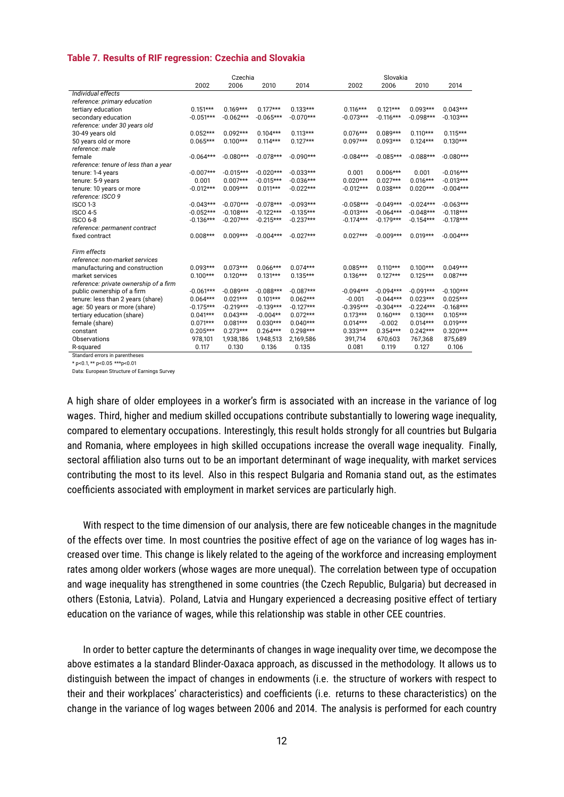#### **Table 7. Results of RIF regression: Czechia and Slovakia**

|                                                                                                                                                     | Czechia     |             |             |             |             | Slovakia    |             |             |
|-----------------------------------------------------------------------------------------------------------------------------------------------------|-------------|-------------|-------------|-------------|-------------|-------------|-------------|-------------|
|                                                                                                                                                     | 2002        | 2006        | 2010        | 2014        | 2002        | 2006        | 2010        | 2014        |
| Individual effects                                                                                                                                  |             |             |             |             |             |             |             |             |
| reference: primary education                                                                                                                        |             |             |             |             |             |             |             |             |
| tertiary education                                                                                                                                  | $0.151***$  | $0.169***$  | $0.177***$  | $0.133***$  | $0.116***$  | $0.121***$  | $0.093***$  | $0.043***$  |
| secondary education                                                                                                                                 | $-0.051***$ | $-0.062***$ | $-0.065***$ | $-0.070***$ | $-0.073***$ | $-0.116***$ | $-0.098***$ | $-0.103***$ |
| reference: under 30 years old                                                                                                                       |             |             |             |             |             |             |             |             |
| 30-49 years old                                                                                                                                     | $0.052***$  | $0.092***$  | $0.104***$  | $0.113***$  | $0.076***$  | $0.089***$  | $0.110***$  | $0.115***$  |
| 50 years old or more                                                                                                                                | $0.065***$  | $0.100***$  | $0.114***$  | $0.127***$  | $0.097***$  | $0.093***$  | $0.124***$  | $0.130***$  |
| reference: male                                                                                                                                     |             |             |             |             |             |             |             |             |
| female                                                                                                                                              | $-0.064***$ | $-0.080***$ | $-0.078***$ | $-0.090***$ | $-0.084***$ | $-0.085***$ | $-0.088***$ | $-0.080***$ |
| reference: tenure of less than a year                                                                                                               |             |             |             |             |             |             |             |             |
| tenure: 1-4 years                                                                                                                                   | $-0.007***$ | $-0.015***$ | $-0.020***$ | $-0.033***$ | 0.001       | $0.006***$  | 0.001       | $-0.016***$ |
| tenure: 5-9 years                                                                                                                                   | 0.001       | $0.007***$  | $-0.015***$ | $-0.036***$ | $0.020***$  | $0.027***$  | $0.016***$  | $-0.013***$ |
| tenure: 10 years or more                                                                                                                            | $-0.012***$ | $0.009***$  | $0.011***$  | $-0.022***$ | $-0.012***$ | $0.038***$  | $0.020***$  | $-0.004***$ |
| reference: ISCO 9                                                                                                                                   |             |             |             |             |             |             |             |             |
| <b>ISCO 1-3</b>                                                                                                                                     | $-0.043***$ | $-0.070***$ | $-0.078***$ | $-0.093***$ | $-0.058***$ | $-0.049***$ | $-0.024***$ | $-0.063***$ |
| <b>ISCO 4-5</b>                                                                                                                                     | $-0.052***$ | $-0.108***$ | $-0.122***$ | $-0.135***$ | $-0.013***$ | $-0.064***$ | $-0.048***$ | $-0.118***$ |
| <b>ISCO 6-8</b>                                                                                                                                     | $-0.136***$ | $-0.207***$ | $-0.215***$ | $-0.237***$ | $-0.174***$ | $-0.179***$ | $-0.154***$ | $-0.178***$ |
|                                                                                                                                                     |             |             |             |             |             |             |             |             |
| fixed contract                                                                                                                                      | $0.008***$  | $0.009***$  | $-0.004***$ | $-0.027***$ | $0.027***$  | $-0.009***$ | $0.019***$  | $-0.004***$ |
|                                                                                                                                                     |             |             |             |             |             |             |             |             |
| Firm effects                                                                                                                                        |             |             |             |             |             |             |             |             |
| reference: non-market services                                                                                                                      |             |             |             |             |             |             |             |             |
| manufacturing and construction                                                                                                                      | $0.093***$  | $0.073***$  | $0.066***$  | $0.074***$  | $0.085***$  | $0.110***$  | $0.100***$  | $0.049***$  |
| market services                                                                                                                                     | $0.100***$  | $0.120***$  | $0.131***$  | $0.135***$  | $0.136***$  | $0.127***$  | $0.125***$  | $0.087***$  |
| reference: private ownership of a firm                                                                                                              |             |             |             |             |             |             |             |             |
| public ownership of a firm                                                                                                                          | $-0.061***$ | $-0.089***$ | $-0.088***$ | $-0.087***$ | $-0.094***$ | $-0.094***$ | $-0.091***$ | $-0.100***$ |
|                                                                                                                                                     | $0.064***$  | $0.021***$  | $0.101***$  | $0.062***$  | $-0.001$    | $-0.044***$ | $0.023***$  | $0.025***$  |
|                                                                                                                                                     | $-0.175***$ | $-0.219***$ | $-0.139***$ | $-0.127***$ | $-0.395***$ | $-0.304***$ | $-0.224***$ | $-0.168***$ |
|                                                                                                                                                     | $0.041***$  | $0.043***$  | $-0.004**$  | $0.072***$  | $0.173***$  | $0.160***$  | $0.130***$  | $0.105***$  |
|                                                                                                                                                     | $0.071***$  | $0.081***$  | $0.030***$  | $0.040***$  | $0.014***$  | $-0.002$    | $0.014***$  | $0.019***$  |
| constant                                                                                                                                            | $0.205***$  | $0.273***$  | $0.264***$  | $0.298***$  | $0.333***$  | $0.354***$  | $0.242***$  | $0.320***$  |
| Observations                                                                                                                                        | 978,101     | 1,938,186   | 1,948,513   | 2,169,586   | 391,714     | 670,603     | 767,368     | 875,689     |
| R-squared                                                                                                                                           | 0.117       | 0.130       | 0.136       | 0.135       | 0.081       | 0.119       | 0.127       | 0.106       |
| reference: permanent contract<br>tenure: less than 2 years (share)<br>age: 50 years or more (share)<br>tertiary education (share)<br>female (share) |             |             |             |             |             |             |             |             |

Standard errors in parentheses

\* p<0.1, \*\* p<0.05 \*\*\*p<0.01

Data: European Structure of Earnings Survey

A high share of older employees in a worker's firm is associated with an increase in the variance of log wages. Third, higher and medium skilled occupations contribute substantially to lowering wage inequality, compared to elementary occupations. Interestingly, this result holds strongly for all countries but Bulgaria and Romania, where employees in high skilled occupations increase the overall wage inequality. Finally, sectoral affiliation also turns out to be an important determinant of wage inequality, with market services contributing the most to its level. Also in this respect Bulgaria and Romania stand out, as the estimates coefficients associated with employment in market services are particularly high.

With respect to the time dimension of our analysis, there are few noticeable changes in the magnitude of the effects over time. In most countries the positive effect of age on the variance of log wages has increased over time. This change is likely related to the ageing of the workforce and increasing employment rates among older workers (whose wages are more unequal). The correlation between type of occupation and wage inequality has strengthened in some countries (the Czech Republic, Bulgaria) but decreased in others (Estonia, Latvia). Poland, Latvia and Hungary experienced a decreasing positive effect of tertiary education on the variance of wages, while this relationship was stable in other CEE countries.

In order to better capture the determinants of changes in wage inequality over time, we decompose the above estimates a la standard Blinder-Oaxaca approach, as discussed in the methodology. It allows us to distinguish between the impact of changes in endowments (i.e. the structure of workers with respect to their and their workplaces' characteristics) and coefficients (i.e. returns to these characteristics) on the change in the variance of log wages between 2006 and 2014. The analysis is performed for each country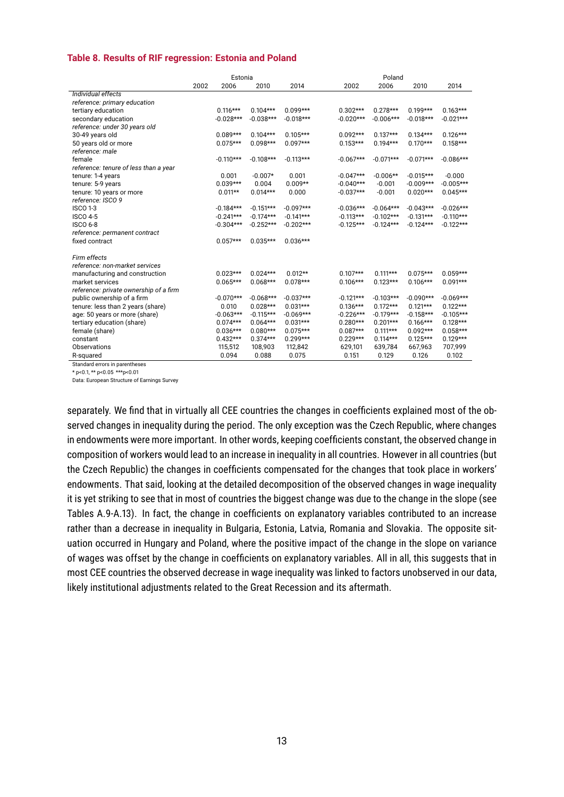#### **Table 8. Results of RIF regression: Estonia and Poland**

|                                        |      | Estonia     |             |             |             | Poland      |             |             |
|----------------------------------------|------|-------------|-------------|-------------|-------------|-------------|-------------|-------------|
|                                        | 2002 | 2006        | 2010        | 2014        | 2002        | 2006        | 2010        | 2014        |
| Individual effects                     |      |             |             |             |             |             |             |             |
| reference: primary education           |      |             |             |             |             |             |             |             |
| tertiary education                     |      | $0.116***$  | $0.104***$  | $0.099***$  | $0.302***$  | $0.278***$  | $0.199***$  | $0.163***$  |
| secondary education                    |      | $-0.028***$ | $-0.038***$ | $-0.018***$ | $-0.020***$ | $-0.006***$ | $-0.018***$ | $-0.021***$ |
| reference: under 30 years old          |      |             |             |             |             |             |             |             |
| 30-49 years old                        |      | $0.089***$  | $0.104***$  | $0.105***$  | $0.092***$  | $0.137***$  | $0.134***$  | $0.126***$  |
| 50 years old or more                   |      | $0.075***$  | $0.098***$  | $0.097***$  | $0.153***$  | $0.194***$  | $0.170***$  | $0.158***$  |
| reference: male                        |      |             |             |             |             |             |             |             |
| female                                 |      | $-0.110***$ | $-0.108***$ | $-0.113***$ | $-0.067***$ | $-0.071***$ | $-0.071***$ | $-0.086***$ |
| reference: tenure of less than a year  |      |             |             |             |             |             |             |             |
| tenure: 1-4 years                      |      | 0.001       | $-0.007*$   | 0.001       | $-0.047***$ | $-0.006**$  | $-0.015***$ | $-0.000$    |
| tenure: 5-9 years                      |      | $0.039***$  | 0.004       | $0.009**$   | $-0.040***$ | $-0.001$    | $-0.009***$ | $-0.005***$ |
| tenure: 10 years or more               |      | $0.011**$   | $0.014***$  | 0.000       | $-0.037***$ | $-0.001$    | $0.020***$  | $0.045***$  |
| reference: ISCO 9                      |      |             |             |             |             |             |             |             |
| <b>ISCO 1-3</b>                        |      | $-0.184***$ | $-0.151***$ | $-0.097***$ | $-0.036***$ | $-0.064***$ | $-0.043***$ | $-0.026***$ |
| <b>ISCO 4-5</b>                        |      | $-0.241***$ | $-0.174***$ | $-0.141***$ | $-0.113***$ | $-0.102***$ | $-0.131***$ | $-0.110***$ |
| <b>ISCO 6-8</b>                        |      | $-0.304***$ | $-0.252***$ | $-0.202***$ | $-0.125***$ | $-0.124***$ | $-0.124***$ | $-0.122***$ |
| reference: permanent contract          |      |             |             |             |             |             |             |             |
| fixed contract                         |      | $0.057***$  | $0.035***$  | $0.036***$  |             |             |             |             |
|                                        |      |             |             |             |             |             |             |             |
| Firm effects                           |      |             |             |             |             |             |             |             |
| reference: non-market services         |      | $0.023***$  | $0.024***$  | $0.012**$   | $0.107***$  | $0.111***$  | $0.075***$  | $0.059***$  |
| manufacturing and construction         |      |             |             |             |             |             |             |             |
| market services                        |      | $0.065***$  | $0.068***$  | $0.078***$  | $0.106***$  | $0.123***$  | $0.106***$  | $0.091***$  |
| reference: private ownership of a firm |      |             |             |             |             |             |             | $-0.069***$ |
| public ownership of a firm             |      | $-0.070***$ | $-0.068***$ | $-0.037***$ | $-0.121***$ | $-0.103***$ | $-0.090***$ |             |
| tenure: less than 2 years (share)      |      | 0.010       | $0.028***$  | $0.031***$  | $0.136***$  | $0.172***$  | $0.121***$  | $0.122***$  |
| age: 50 years or more (share)          |      | $-0.063***$ | $-0.115***$ | $-0.069***$ | $-0.226***$ | $-0.179***$ | $-0.158***$ | $-0.105***$ |
| tertiary education (share)             |      | $0.074***$  | $0.064***$  | $0.031***$  | $0.280***$  | $0.201***$  | $0.166***$  | $0.128***$  |
| female (share)                         |      | $0.036***$  | $0.080***$  | $0.075***$  | $0.087***$  | $0.111***$  | $0.092***$  | $0.058***$  |
| constant                               |      | $0.432***$  | $0.374***$  | $0.299***$  | $0.229***$  | $0.114***$  | $0.125***$  | $0.129***$  |
| Observations                           |      | 115.512     | 108.903     | 112,842     | 629,101     | 639.784     | 667.963     | 707.999     |
| R-squared                              |      | 0.094       | 0.088       | 0.075       | 0.151       | 0.129       | 0.126       | 0.102       |

Standard errors in parentheses \* p<0.1, \*\* p<0.05 \*\*\*p<0.01

Data: European Structure of Earnings Survey

separately. We find that in virtually all CEE countries the changes in coefficients explained most of the observed changes in inequality during the period. The only exception was the Czech Republic, where changes in endowments were more important. In other words, keeping coefficients constant, the observed change in composition of workers would lead to an increase in inequality in all countries. However in all countries (but the Czech Republic) the changes in coefficients compensated for the changes that took place in workers' endowments. That said, looking at the detailed decomposition of the observed changes in wage inequality it is yet striking to see that in most of countries the biggest change was due to the change in the slope (see Tables A.9-A.13). In fact, the change in coefficients on explanatory variables contributed to an increase rather than a decrease in inequality in Bulgaria, Estonia, Latvia, Romania and Slovakia. The opposite situation occurred in Hungary and Poland, where the positive impact of the change in the slope on variance of wages was offset by the change in coefficients on explanatory variables. All in all, this suggests that in most CEE countries the observed decrease in wage inequality was linked to factors unobserved in our data, likely institutional adjustments related to the Great Recession and its aftermath.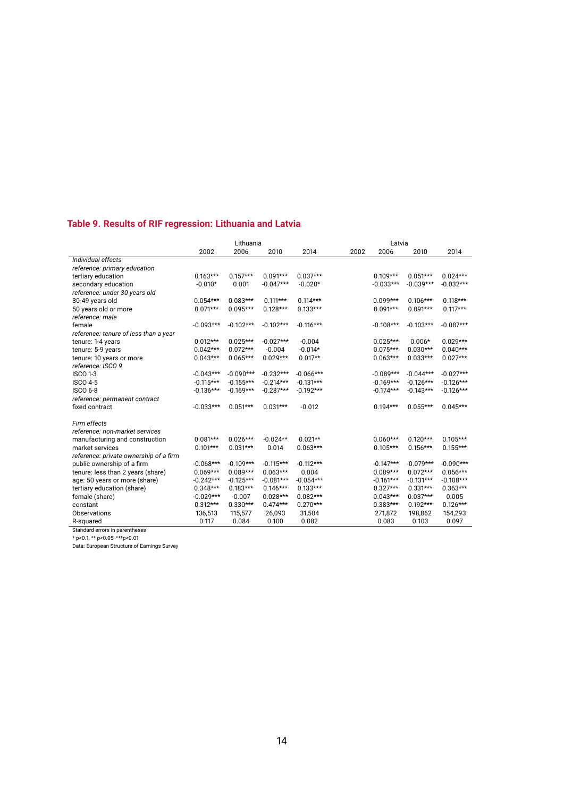### **Table 9. Results of RIF regression: Lithuania and Latvia**

|                                        | Lithuania   |             |             |             | Latvia |             |             |             |
|----------------------------------------|-------------|-------------|-------------|-------------|--------|-------------|-------------|-------------|
|                                        | 2002        | 2006        | 2010        | 2014        | 2002   | 2006        | 2010        | 2014        |
| Individual effects                     |             |             |             |             |        |             |             |             |
| reference: primary education           |             |             |             |             |        |             |             |             |
| tertiary education                     | $0.163***$  | $0.157***$  | $0.091***$  | $0.037***$  |        | $0.109***$  | $0.051***$  | $0.024***$  |
| secondary education                    | $-0.010*$   | 0.001       | $-0.047***$ | $-0.020*$   |        | $-0.033***$ | $-0.039***$ | $-0.032***$ |
| reference: under 30 years old          |             |             |             |             |        |             |             |             |
| 30-49 years old                        | $0.054***$  | $0.083***$  | $0.111***$  | $0.114***$  |        | $0.099***$  | $0.106***$  | $0.118***$  |
| 50 years old or more                   | $0.071***$  | $0.095***$  | $0.128***$  | $0.133***$  |        | $0.091***$  | $0.091***$  | $0.117***$  |
| reference: male                        |             |             |             |             |        |             |             |             |
| female                                 | $-0.093***$ | $-0.102***$ | $-0.102***$ | $-0.116***$ |        | $-0.108***$ | $-0.103***$ | $-0.087***$ |
| reference: tenure of less than a year  |             |             |             |             |        |             |             |             |
| tenure: 1-4 years                      | $0.012***$  | $0.025***$  | $-0.027***$ | $-0.004$    |        | $0.025***$  | $0.006*$    | $0.029***$  |
| tenure: 5-9 years                      | $0.042***$  | $0.072***$  | $-0.004$    | $-0.014*$   |        | $0.075***$  | $0.030***$  | $0.040***$  |
| tenure: 10 years or more               | $0.043***$  | $0.065***$  | $0.029***$  | $0.017**$   |        | $0.063***$  | $0.033***$  | $0.027***$  |
| reference: ISCO 9                      |             |             |             |             |        |             |             |             |
| <b>ISCO 1-3</b>                        | $-0.043***$ | $-0.090***$ | $-0.232***$ | $-0.066***$ |        | $-0.089***$ | $-0.044***$ | $-0.027***$ |
| <b>ISCO 4-5</b>                        | $-0.115***$ | $-0.155***$ | $-0.214***$ | $-0.131***$ |        | $-0.169***$ | $-0.126***$ | $-0.126***$ |
| <b>ISCO 6-8</b>                        | $-0.136***$ | $-0.169***$ | $-0.287***$ | $-0.192***$ |        | $-0.174***$ | $-0.143***$ | $-0.126***$ |
| reference: permanent contract          |             |             |             |             |        |             |             |             |
| fixed contract                         | $-0.033***$ | $0.051***$  | $0.031***$  | $-0.012$    |        | $0.194***$  | $0.055***$  | $0.045***$  |
| Firm effects                           |             |             |             |             |        |             |             |             |
| reference: non-market services         |             |             |             |             |        |             |             |             |
| manufacturing and construction         | $0.081***$  | $0.026***$  | $-0.024**$  | $0.021**$   |        | $0.060***$  | $0.120***$  | $0.105***$  |
| market services                        | $0.101***$  | $0.031***$  | 0.014       | $0.063***$  |        | $0.105***$  | $0.156***$  | $0.155***$  |
| reference: private ownership of a firm |             |             |             |             |        |             |             |             |
| public ownership of a firm             | $-0.068***$ | $-0.109***$ | $-0.115***$ | $-0.112***$ |        | $-0.147***$ | $-0.079***$ | $-0.090***$ |
| tenure: less than 2 years (share)      | $0.069***$  | $0.089***$  | $0.063***$  | 0.004       |        | $0.089***$  | $0.072***$  | $0.056***$  |
| age: 50 years or more (share)          | $-0.242***$ | $-0.125***$ | $-0.081***$ | $-0.054***$ |        | $-0.161***$ | $-0.131***$ | $-0.108***$ |
| tertiary education (share)             | $0.348***$  | $0.183***$  | $0.146***$  | $0.133***$  |        | $0.327***$  | $0.331***$  | $0.363***$  |
| female (share)                         | $-0.029***$ | $-0.007$    | $0.028***$  | $0.082***$  |        | $0.043***$  | $0.037***$  | 0.005       |
| constant                               | $0.312***$  | $0.330***$  | $0.474***$  | $0.270***$  |        | $0.383***$  | $0.192***$  | $0.126***$  |
| Observations                           | 136,513     | 115,577     | 26,093      | 31,504      |        | 271,872     | 198,862     | 154,293     |
| R-squared                              | 0.117       | 0.084       | 0.100       | 0.082       |        | 0.083       | 0.103       | 0.097       |
| Standard errors in parentheses         |             |             |             |             |        |             |             |             |

\* p<0.1, \*\* p<0.05 \*\*\*p<0.01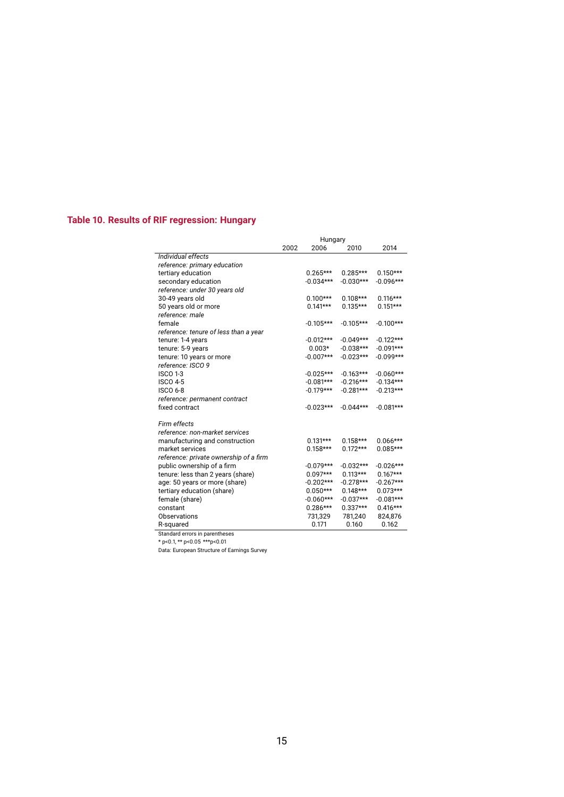### **Table 10. Results of RIF regression: Hungary**

|                                        | Hungary |             |             |             |  |
|----------------------------------------|---------|-------------|-------------|-------------|--|
|                                        | 2002    | 2006        | 2010        | 2014        |  |
| Individual effects                     |         |             |             |             |  |
| reference: primary education           |         |             |             |             |  |
| tertiary education                     |         | $0.265***$  | $0.285***$  | $0.150***$  |  |
| secondary education                    |         | $-0.034***$ | $-0.030***$ | $-0.096***$ |  |
| reference: under 30 years old          |         |             |             |             |  |
| 30-49 years old                        |         | $0.100***$  | $0.108***$  | $0.116***$  |  |
| 50 years old or more                   |         | $0.141***$  | $0.135***$  | $0.151***$  |  |
| reference: male                        |         |             |             |             |  |
| female                                 |         | $-0.105***$ | $-0.105***$ | $-0.100***$ |  |
| reference: tenure of less than a year  |         |             |             |             |  |
| tenure: 1-4 years                      |         | $-0.012***$ | $-0.049***$ | $-0.122***$ |  |
| tenure: 5-9 years                      |         | $0.003*$    | $-0.038***$ | $-0.091***$ |  |
| tenure: 10 years or more               |         | $-0.007***$ | $-0.023***$ | $-0.099***$ |  |
| reference: ISCO 9                      |         |             |             |             |  |
| <b>ISCO 1-3</b>                        |         | $-0.025***$ | $-0.163***$ | $-0.060***$ |  |
| <b>ISCO 4-5</b>                        |         | $-0.081***$ | $-0.216***$ | $-0.134***$ |  |
| <b>ISCO 6-8</b>                        |         | $-0.179***$ | $-0.281***$ | $-0.213***$ |  |
| reference: permanent contract          |         |             |             |             |  |
| fixed contract                         |         | $-0.023***$ | $-0.044***$ | $-0.081***$ |  |
|                                        |         |             |             |             |  |
| Firm effects                           |         |             |             |             |  |
| reference: non-market services         |         |             |             |             |  |
| manufacturing and construction         |         | $0.131***$  | $0.158***$  | $0.066***$  |  |
| market services                        |         | $0.158***$  | $0.172***$  | $0.085***$  |  |
| reference: private ownership of a firm |         |             |             |             |  |
| public ownership of a firm             |         | $-0.079***$ | $-0.032***$ | $-0.026***$ |  |
| tenure: less than 2 years (share)      |         | $0.097***$  | $0.113***$  | $0.167***$  |  |
| age: 50 years or more (share)          |         | $-0.202***$ | $-0.278***$ | $-0.267***$ |  |
| tertiary education (share)             |         | $0.050***$  | $0.148***$  | $0.073***$  |  |
| female (share)                         |         | $-0.060***$ | $-0.037***$ | $-0.081***$ |  |
| constant                               |         | $0.286***$  | $0.337***$  | $0.416***$  |  |
| <b>Observations</b>                    |         | 731,329     | 781,240     | 824,876     |  |
| R-squared                              |         | 0.171       | 0.160       | 0.162       |  |
| Standard errors in parentheses         |         |             |             |             |  |

\* p<0.1, \*\* p<0.05 \*\*\*p<0.01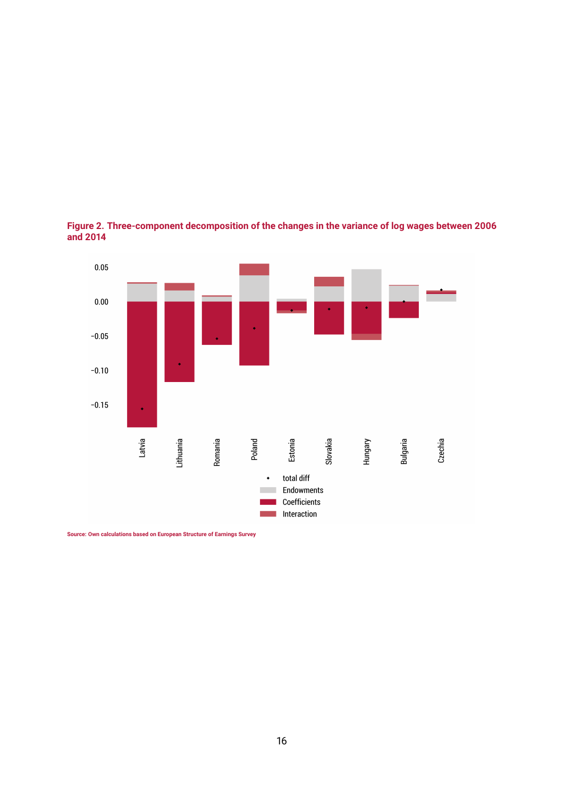

**Figure 2. Three-component decomposition of the changes in the variance of log wages between 2006 and 2014**

**Source: Own calculations based on European Structure of Earnings Survey**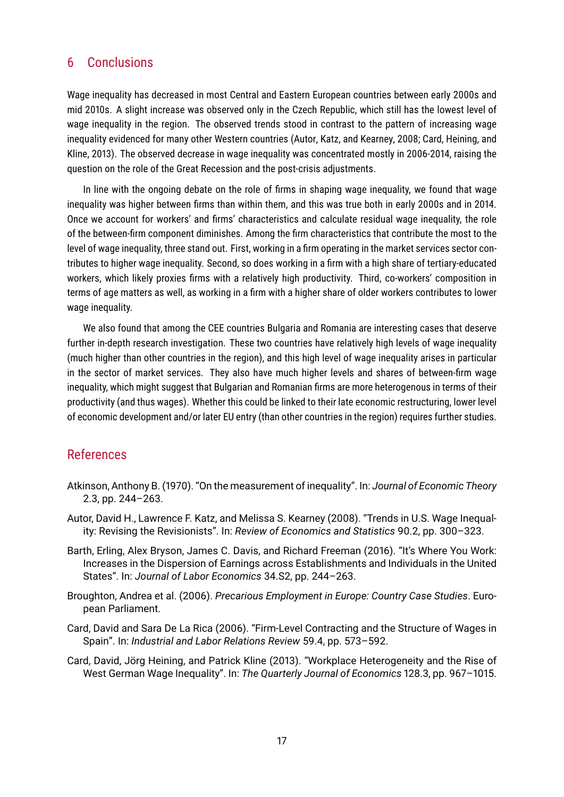### 6 Conclusions

Wage inequality has decreased in most Central and Eastern European countries between early 2000s and mid 2010s. A slight increase was observed only in the Czech Republic, which still has the lowest level of wage inequality in the region. The observed trends stood in contrast to the pattern of increasing wage inequality evidenced for many other Western countries (Autor, Katz, and Kearney, 2008; Card, Heining, and Kline, 2013). The observed decrease in wage inequality was concentrated mostly in 2006-2014, raising the question on the role of the Great Recession and the post-crisis adjustments.

In line with the ongoing debate on the role of firms in shaping wage inequality, we found that wage inequality was higher between firms than within them, and this was true both in early 2000s and in 2014. Once we account for workers' and firms' characteristics and calculate residual wage inequality, the role of the between-firm component diminishes. Among the firm characteristics that contribute the most to the level of wage inequality, three stand out. First, working in a firm operating in the market services sector contributes to higher wage inequality. Second, so does working in a firm with a high share of tertiary-educated workers, which likely proxies firms with a relatively high productivity. Third, co-workers' composition in terms of age matters as well, as working in a firm with a higher share of older workers contributes to lower wage inequality.

We also found that among the CEE countries Bulgaria and Romania are interesting cases that deserve further in-depth research investigation. These two countries have relatively high levels of wage inequality (much higher than other countries in the region), and this high level of wage inequality arises in particular in the sector of market services. They also have much higher levels and shares of between-firm wage inequality, which might suggest that Bulgarian and Romanian firms are more heterogenous in terms of their productivity (and thus wages). Whether this could be linked to their late economic restructuring, lower level of economic development and/or later EU entry (than other countries in the region) requires further studies.

### References

- Atkinson, Anthony B. (1970). "On the measurement of inequality". In: *Journal of Economic Theory* 2.3, pp. 244–263.
- Autor, David H., Lawrence F. Katz, and Melissa S. Kearney (2008). "Trends in U.S. Wage Inequality: Revising the Revisionists". In: *Review of Economics and Statistics* 90.2, pp. 300–323.
- Barth, Erling, Alex Bryson, James C. Davis, and Richard Freeman (2016). "It's Where You Work: Increases in the Dispersion of Earnings across Establishments and Individuals in the United States". In: *Journal of Labor Economics* 34.S2, pp. 244–263.
- Broughton, Andrea et al. (2006). *Precarious Employment in Europe: Country Case Studies*. European Parliament.
- Card, David and Sara De La Rica (2006). "Firm-Level Contracting and the Structure of Wages in Spain". In: *Industrial and Labor Relations Review* 59.4, pp. 573–592.
- Card, David, Jörg Heining, and Patrick Kline (2013). "Workplace Heterogeneity and the Rise of West German Wage Inequality". In: *The Quarterly Journal of Economics* 128.3, pp. 967–1015.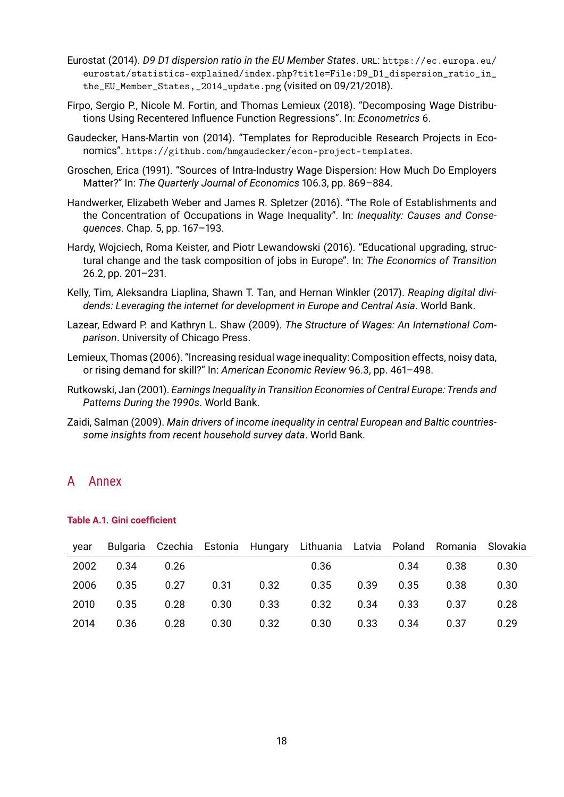- Eurostat (2014). *D9 D1 dispersion ratio in the EU Member States*. URL: https://ec.europa.eu/ eurostat/statistics-explained/index.php?title=File:D9\_D1\_dispersion\_ratio\_in\_ the\_EU\_Member\_States,\_2014\_update.png (visited on 09/21/2018).
- Firpo, Sergio P., Nicole M. Fortin, and Thomas Lemieux (2018). "Decomposing Wage Distributions Using Recentered Influence Function Regressions". In: *Econometrics* 6.
- Gaudecker, Hans-Martin von (2014). "Templates for Reproducible Research Projects in Economics". https://github.com/hmgaudecker/econ-project-templates.
- Groschen, Erica (1991). "Sources of Intra-Industry Wage Dispersion: How Much Do Employers Matter?" In: *The Quarterly Journal of Economics* 106.3, pp. 869–884.
- Handwerker, Elizabeth Weber and James R. Spletzer (2016). "The Role of Establishments and the Concentration of Occupations in Wage Inequality". In: *Inequality: Causes and Consequences*. Chap. 5, pp. 167–193.
- Hardy, Wojciech, Roma Keister, and Piotr Lewandowski (2016). "Educational upgrading, structural change and the task composition of jobs in Europe". In: *The Economics of Transition* 26.2, pp. 201–231.
- Kelly, Tim, Aleksandra Liaplina, Shawn T. Tan, and Hernan Winkler (2017). *Reaping digital dividends: Leveraging the internet for development in Europe and Central Asia*. World Bank.
- Lazear, Edward P. and Kathryn L. Shaw (2009). *The Structure of Wages: An International Comparison*. University of Chicago Press.
- Lemieux, Thomas (2006). "Increasing residual wage inequality: Composition effects, noisy data, or rising demand for skill?" In: *American Economic Review* 96.3, pp. 461–498.
- Rutkowski, Jan (2001). *Earnings Inequality in Transition Economies of Central Europe: Trends and Patterns During the 1990s*. World Bank.
- Zaidi, Salman (2009). *Main drivers of income inequality in central European and Baltic countriessome insights from recent household survey data*. World Bank.

### A Annex

| year |      |      |      |      | Bulgaria Czechia Estonia Hungary Lithuania Latvia Poland Romania Slovakia |      |      |      |      |
|------|------|------|------|------|---------------------------------------------------------------------------|------|------|------|------|
| 2002 | 0.34 | 0.26 |      |      | 0.36                                                                      |      | 0.34 | 0.38 | 0.30 |
| 2006 | 0.35 | 0.27 | 0.31 | 0.32 | 0.35                                                                      | 0.39 | 0.35 | 0.38 | 0.30 |
| 2010 | 0.35 | 0.28 | 0.30 | 0.33 | 0.32                                                                      | 0.34 | 0.33 | 0.37 | 0.28 |
| 2014 | 0.36 | 0.28 | 0.30 | 0.32 | 0.30                                                                      | 0.33 | 0.34 | 0.37 | 0.29 |

#### **Table A.1. Gini coefficient**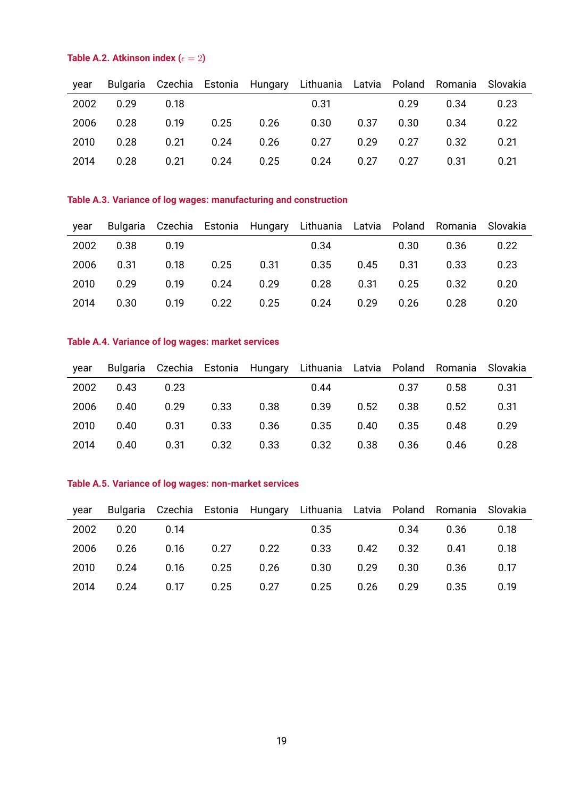### **Table A.2. Atkinson index (** $\epsilon = 2$ **)**

| year |      |      |      |      | Bulgaria Czechia Estonia Hungary Lithuania Latvia Poland Romania |      |      |      | Slovakia |
|------|------|------|------|------|------------------------------------------------------------------|------|------|------|----------|
| 2002 | 0.29 | 0.18 |      |      | 0.31                                                             |      | 0.29 | 0.34 | 0.23     |
| 2006 | 0.28 | 0.19 | 0.25 | 0.26 | 0.30                                                             | 0.37 | 0.30 | 0.34 | 0.22     |
| 2010 | 0.28 | 0.21 | 0.24 | 0.26 | 0.27                                                             | 0.29 | 0.27 | 0.32 | O 21     |
| 2014 | 0.28 | 0.21 | 0.24 | 0.25 | 0.24                                                             | 0.27 | 0.27 | 0.31 | O 21     |

### **Table A.3. Variance of log wages: manufacturing and construction**

| year |      |      |      |      | Bulgaria Czechia Estonia Hungary Lithuania Latvia Poland Romania Slovakia |      |      |      |      |
|------|------|------|------|------|---------------------------------------------------------------------------|------|------|------|------|
| 2002 | 0.38 | 0.19 |      |      | 0.34                                                                      |      | 0.30 | 0.36 | 0.22 |
| 2006 | 0.31 | 0.18 | 0.25 | 0.31 | 0.35                                                                      | 0.45 | 0.31 | 0.33 | 0.23 |
| 2010 | 0.29 | 0.19 | 0.24 | 0.29 | 0.28                                                                      | 0.31 | 0.25 | 0.32 | 0.20 |
| 2014 | 0.30 | 0.19 | 0.22 | 0.25 | 0.24                                                                      | 0.29 | 0.26 | 0.28 | 0.20 |

### **Table A.4. Variance of log wages: market services**

| year |      |      |      |      | Bulgaria Czechia Estonia Hungary Lithuania Latvia Poland Romania Slovakia |      |      |      |      |
|------|------|------|------|------|---------------------------------------------------------------------------|------|------|------|------|
| 2002 | 0.43 | 0.23 |      |      | 0.44                                                                      |      | 0.37 | 0.58 | 0.31 |
| 2006 | 0.40 | 0.29 | 0.33 | 0.38 | 0.39                                                                      | 0.52 | 0.38 | 0.52 | 0.31 |
| 2010 | 0.40 | 0.31 | 0.33 | 0.36 | 0.35                                                                      | 0.40 | 0.35 | 0.48 | 0.29 |
| 2014 | 0.40 | 0.31 | 0.32 | 0.33 | 0.32                                                                      | 0.38 | 0.36 | 0.46 | 0.28 |

### **Table A.5. Variance of log wages: non-market services**

| year |      |      |      |      | Bulgaria Czechia Estonia Hungary Lithuania Latvia Poland Romania Slovakia |      |      |      |      |
|------|------|------|------|------|---------------------------------------------------------------------------|------|------|------|------|
| 2002 | 0.20 | O 14 |      |      | 0.35                                                                      |      | 0.34 | 0.36 | 0.18 |
| 2006 | 0.26 | 0.16 | 0.27 | 0.22 | 0.33                                                                      | 0.42 | 0.32 | 0.41 | 0.18 |
| 2010 | 0.24 | 0.16 | 0.25 | 0.26 | 0.30                                                                      | 0.29 | 0.30 | 0.36 | 0.17 |
| 2014 | 0.24 | 0.17 | 0.25 | 0.27 | 0.25                                                                      | 0.26 | 0.29 | 0.35 | በ 19 |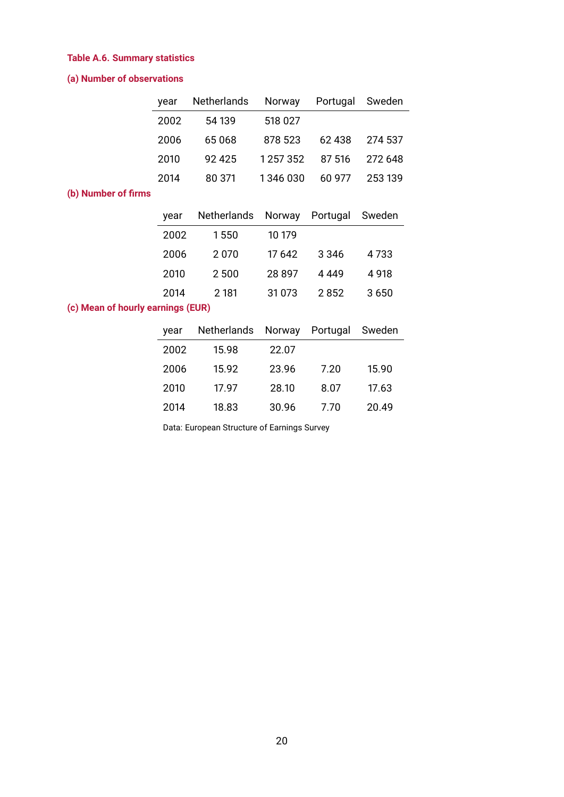### **Table A.6. Summary statistics**

### **(a) Number of observations**

| year | Netherlands | Norway        | Portugal Sweden |         |
|------|-------------|---------------|-----------------|---------|
| 2002 | 54 139      | 518 027       |                 |         |
| 2006 | 65 068      | 878 523       | 62438           | 274 537 |
| 2010 | 92 425      | 1 2 5 7 3 5 2 | 87 516          | 272 648 |
| 2014 | 80 371      | 1346 030      | 60 977          | 253 139 |

### **(b) Number of firms**

| year | Netherlands |         | Norway Portugal | Sweden |
|------|-------------|---------|-----------------|--------|
| 2002 | 1550        | 10 179  |                 |        |
| 2006 | 2070        | 17 642  | 3 3 4 6         | 4 733  |
| 2010 | 2500        | 28897   | 4 4 4 9         | 4918   |
| 2014 | 2 181       | 31 0 73 | 2852            | 3650   |

### **(c) Mean of hourly earnings (EUR)**

| vear | Netherlands Norway |       | Portugal | Sweden |
|------|--------------------|-------|----------|--------|
| 2002 | 15.98              | 22.07 |          |        |
| 2006 | 15.92              | 23.96 | 7.20     | 15.90  |
| 2010 | 17 97              | 28.10 | 8.07     | 17.63  |
| 2014 | 18.83              | 30.96 | 7 70     | 20.49  |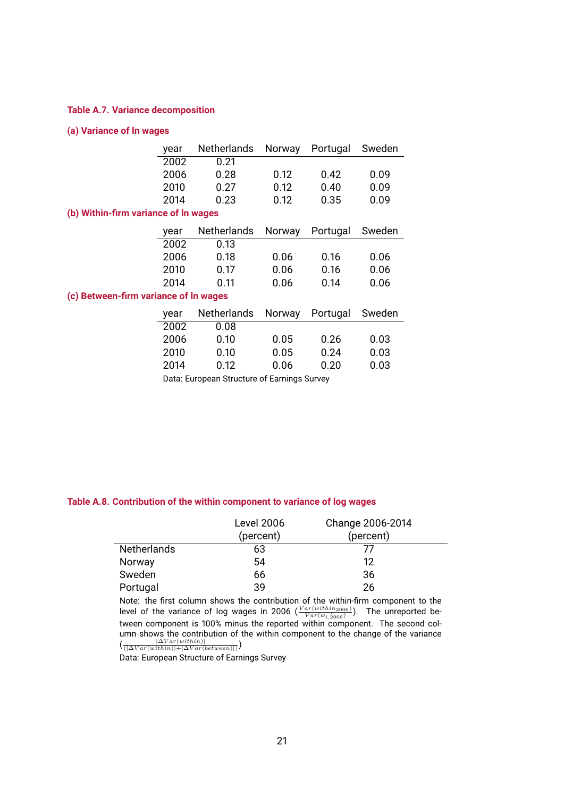#### **Table A.7. Variance decomposition**

### **(a) Variance of ln wages**

|                                       | year | <b>Netherlands</b> | Norway | Portugal | Sweden |
|---------------------------------------|------|--------------------|--------|----------|--------|
|                                       | 2002 | 0.21               |        |          |        |
|                                       | 2006 | 0.28               | 0.12   | 0.42     | 0.09   |
|                                       | 2010 | 0.27               | 0.12   | 0.40     | 0.09   |
|                                       | 2014 | 0.23               | 0.12   | 0.35     | 0.09   |
| (b) Within-firm variance of In wages  |      |                    |        |          |        |
|                                       | year | <b>Netherlands</b> | Norway | Portugal | Sweden |
|                                       | 2002 | 0.13               |        |          |        |
|                                       | 2006 | 0.18               | 0.06   | 0.16     | 0.06   |
|                                       | 2010 | 0.17               | 0.06   | 0.16     | 0.06   |
|                                       | 2014 | 0.11               | 0.06   | 0.14     | 0.06   |
| (c) Between-firm variance of In wages |      |                    |        |          |        |
|                                       | year | <b>Netherlands</b> | Norway | Portugal | Sweden |
|                                       | 2002 | 0.08               |        |          |        |
|                                       | 2006 | 0.10               | 0.05   | 0.26     | 0.03   |
|                                       | 2010 | 0.10               | 0.05   | 0.24     | 0.03   |
|                                       | 2014 | 0.12               | 0.06   | 0.20     | 0.03   |

Data: European Structure of Earnings Survey

#### **Table A.8. Contribution of the within component to variance of log wages**

|                    | <b>Level 2006</b><br>(percent) | Change 2006-2014<br>(percent) |
|--------------------|--------------------------------|-------------------------------|
| <b>Netherlands</b> | 63                             | 77                            |
| Norway             | 54                             | 12                            |
| Sweden             | 66                             | 36                            |
| Portugal           | 39                             | 26                            |

Note: the first column shows the contribution of the within-firm component to the level of the variance of log wages in 2006  $(\frac{Var(within_{2006})}{Var(w_{i,\hat{2006}})})$ . The unreported between component is 100% minus the reported within component. The second column shows the contribution of the within component to the change of the variance  $\left(\frac{\left|\Delta Var (within)\right|}{\left(\left|\Delta Var (within)\right|+\left|\Delta Var (between)\right|\right)}\right)$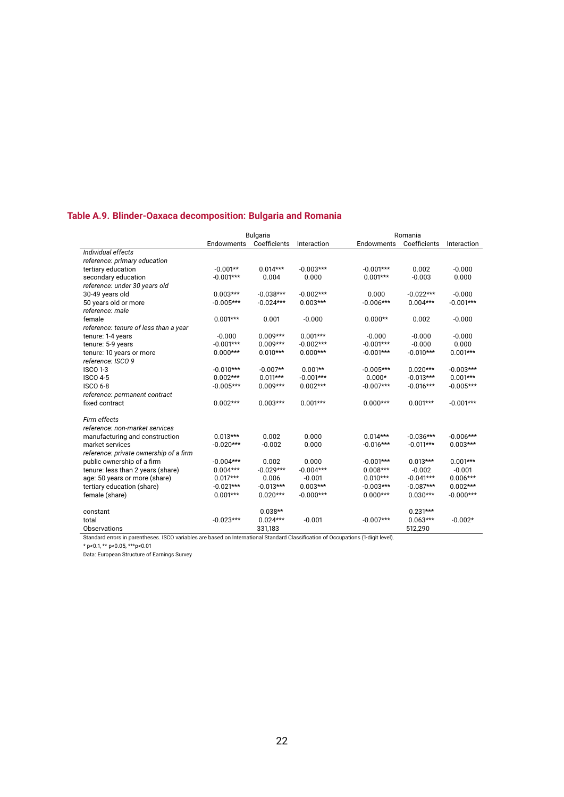### **Table A.9. Blinder-Oaxaca decomposition: Bulgaria and Romania**

|                                                                                                                                   |             | <b>Bulgaria</b> |             |             | Romania      |             |  |
|-----------------------------------------------------------------------------------------------------------------------------------|-------------|-----------------|-------------|-------------|--------------|-------------|--|
|                                                                                                                                   | Endowments  | Coefficients    | Interaction | Endowments  | Coefficients | Interaction |  |
| Individual effects                                                                                                                |             |                 |             |             |              |             |  |
| reference: primary education                                                                                                      |             |                 |             |             |              |             |  |
| tertiary education                                                                                                                | $-0.001**$  | $0.014***$      | $-0.003***$ | $-0.001***$ | 0.002        | $-0.000$    |  |
| secondary education                                                                                                               | $-0.001***$ | 0.004           | 0.000       | $0.001***$  | $-0.003$     | 0.000       |  |
| reference: under 30 years old                                                                                                     |             |                 |             |             |              |             |  |
| 30-49 years old                                                                                                                   | $0.003***$  | $-0.038***$     | $-0.002***$ | 0.000       | $-0.022***$  | $-0.000$    |  |
| 50 years old or more                                                                                                              | $-0.005***$ | $-0.024***$     | $0.003***$  | $-0.006***$ | $0.004***$   | $-0.001***$ |  |
| reference: male                                                                                                                   |             |                 |             |             |              |             |  |
| female                                                                                                                            | $0.001***$  | 0.001           | $-0.000$    | $0.000**$   | 0.002        | $-0.000$    |  |
| reference: tenure of less than a year                                                                                             |             |                 |             |             |              |             |  |
| tenure: 1-4 years                                                                                                                 | $-0.000$    | $0.009***$      | $0.001***$  | $-0.000$    | $-0.000$     | $-0.000$    |  |
| tenure: 5-9 years                                                                                                                 | $-0.001***$ | $0.009***$      | $-0.002***$ | $-0.001***$ | $-0.000$     | 0.000       |  |
| tenure: 10 years or more                                                                                                          | $0.000***$  | $0.010***$      | $0.000***$  | $-0.001***$ | $-0.010***$  | $0.001***$  |  |
| reference: ISCO 9                                                                                                                 |             |                 |             |             |              |             |  |
| <b>ISCO 1-3</b>                                                                                                                   | $-0.010***$ | $-0.007**$      | $0.001**$   | $-0.005***$ | $0.020***$   | $-0.003***$ |  |
| <b>ISCO 4-5</b>                                                                                                                   | $0.002***$  | $0.011***$      | $-0.001***$ | $0.000*$    | $-0.013***$  | $0.001***$  |  |
| <b>ISCO 6-8</b>                                                                                                                   | $-0.005***$ | $0.009***$      | $0.002***$  | $-0.007***$ | $-0.016***$  | $-0.005***$ |  |
| reference: permanent contract                                                                                                     |             |                 |             |             |              |             |  |
| fixed contract                                                                                                                    | $0.002***$  | $0.003***$      | $0.001***$  | $0.000***$  | $0.001***$   | $-0.001***$ |  |
| Firm effects                                                                                                                      |             |                 |             |             |              |             |  |
| reference: non-market services                                                                                                    |             |                 |             |             |              |             |  |
| manufacturing and construction                                                                                                    | $0.013***$  | 0.002           | 0.000       | $0.014***$  | $-0.036***$  | $-0.006***$ |  |
| market services                                                                                                                   | $-0.020***$ | $-0.002$        | 0.000       | $-0.016***$ | $-0.011***$  | $0.003***$  |  |
| reference: private ownership of a firm                                                                                            |             |                 |             |             |              |             |  |
| public ownership of a firm                                                                                                        | $-0.004***$ | 0.002           | 0.000       | $-0.001***$ | $0.013***$   | $0.001***$  |  |
| tenure: less than 2 years (share)                                                                                                 | $0.004***$  | $-0.029***$     | $-0.004***$ | $0.008***$  | $-0.002$     | $-0.001$    |  |
| age: 50 years or more (share)                                                                                                     | $0.017***$  | 0.006           | $-0.001$    | $0.010***$  | $-0.041***$  | $0.006***$  |  |
| tertiary education (share)                                                                                                        | $-0.021***$ | $-0.013***$     | $0.003***$  | $-0.003***$ | $-0.087***$  | $0.002***$  |  |
| female (share)                                                                                                                    | $0.001***$  | $0.020***$      | $-0.000***$ | $0.000***$  | $0.030***$   | $-0.000***$ |  |
| constant                                                                                                                          |             | $0.038**$       |             |             | $0.231***$   |             |  |
| total                                                                                                                             | $-0.023***$ | $0.024***$      | $-0.001$    | $-0.007***$ | $0.063***$   | $-0.002*$   |  |
| Observations                                                                                                                      |             | 331,183         |             |             | 512,290      |             |  |
| Standard errors in parentheses. ISCO variables are based on International Standard Classification of Occupations (1-digit level). |             |                 |             |             |              |             |  |

cupations (1-digit level).

\* p<0.1, \*\* p<0.05, \*\*\*p<0.01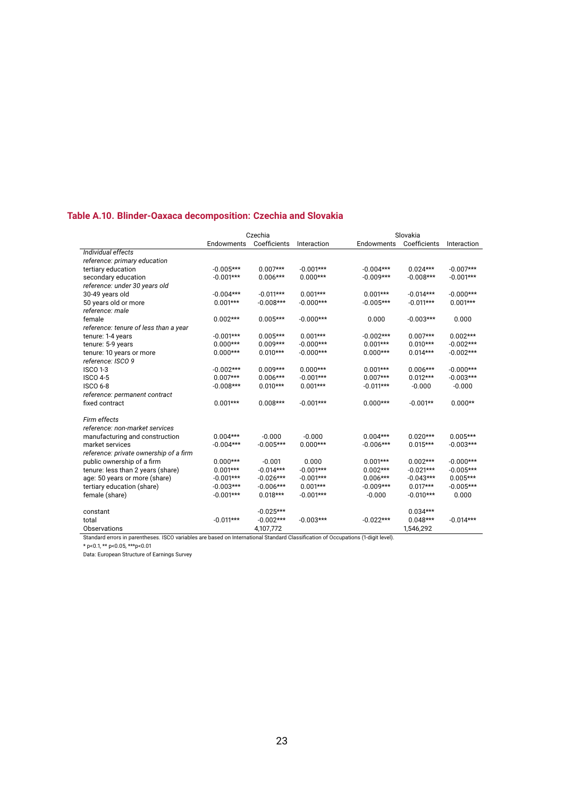### **Table A.10. Blinder-Oaxaca decomposition: Czechia and Slovakia**

|                                                                                                                                   |             | Czechia      |             |             | Slovakia     |             |  |
|-----------------------------------------------------------------------------------------------------------------------------------|-------------|--------------|-------------|-------------|--------------|-------------|--|
|                                                                                                                                   | Endowments  | Coefficients | Interaction | Endowments  | Coefficients | Interaction |  |
| Individual effects                                                                                                                |             |              |             |             |              |             |  |
| reference: primary education                                                                                                      |             |              |             |             |              |             |  |
| tertiary education                                                                                                                | $-0.005***$ | $0.007***$   | $-0.001***$ | $-0.004***$ | $0.024***$   | $-0.007***$ |  |
| secondary education                                                                                                               | $-0.001***$ | $0.006***$   | $0.000***$  | $-0.009***$ | $-0.008***$  | $-0.001***$ |  |
| reference: under 30 years old                                                                                                     |             |              |             |             |              |             |  |
| 30-49 years old                                                                                                                   | $-0.004***$ | $-0.011***$  | $0.001***$  | $0.001***$  | $-0.014***$  | $-0.000***$ |  |
| 50 years old or more                                                                                                              | $0.001***$  | $-0.008***$  | $-0.000***$ | $-0.005***$ | $-0.011***$  | $0.001***$  |  |
| reference: male                                                                                                                   |             |              |             |             |              |             |  |
| female                                                                                                                            | $0.002***$  | $0.005***$   | $-0.000***$ | 0.000       | $-0.003***$  | 0.000       |  |
| reference: tenure of less than a year                                                                                             |             |              |             |             |              |             |  |
| tenure: 1-4 years                                                                                                                 | $-0.001***$ | $0.005***$   | $0.001***$  | $-0.002***$ | $0.007***$   | $0.002***$  |  |
| tenure: 5-9 years                                                                                                                 | $0.000***$  | $0.009***$   | $-0.000***$ | $0.001***$  | $0.010***$   | $-0.002***$ |  |
| tenure: 10 years or more                                                                                                          | $0.000***$  | $0.010***$   | $-0.000***$ | $0.000***$  | $0.014***$   | $-0.002***$ |  |
| reference: ISCO 9                                                                                                                 |             |              |             |             |              |             |  |
| <b>ISCO 1-3</b>                                                                                                                   | $-0.002***$ | $0.009***$   | $0.000***$  | $0.001***$  | $0.006***$   | $-0.000***$ |  |
| <b>ISCO 4-5</b>                                                                                                                   | $0.007***$  | $0.006***$   | $-0.001***$ | $0.007***$  | $0.012***$   | $-0.003***$ |  |
| <b>ISCO 6-8</b>                                                                                                                   | $-0.008***$ | $0.010***$   | $0.001***$  | $-0.011***$ | $-0.000$     | $-0.000$    |  |
| reference: permanent contract                                                                                                     |             |              |             |             |              |             |  |
| fixed contract                                                                                                                    | $0.001***$  | $0.008***$   | $-0.001***$ | $0.000***$  | $-0.001**$   | $0.000**$   |  |
| Firm effects                                                                                                                      |             |              |             |             |              |             |  |
| reference: non-market services                                                                                                    |             |              |             |             |              |             |  |
| manufacturing and construction                                                                                                    | $0.004***$  | $-0.000$     | $-0.000$    | $0.004***$  | $0.020***$   | $0.005***$  |  |
| market services                                                                                                                   | $-0.004***$ | $-0.005***$  | $0.000***$  | $-0.006***$ | $0.015***$   | $-0.003***$ |  |
| reference: private ownership of a firm                                                                                            |             |              |             |             |              |             |  |
| public ownership of a firm                                                                                                        | $0.000***$  | $-0.001$     | 0.000       | $0.001***$  | $0.002***$   | $-0.000***$ |  |
| tenure: less than 2 years (share)                                                                                                 | $0.001***$  | $-0.014***$  | $-0.001***$ | $0.002***$  | $-0.021***$  | $-0.005***$ |  |
| age: 50 years or more (share)                                                                                                     | $-0.001***$ | $-0.026***$  | $-0.001***$ | $0.006***$  | $-0.043***$  | $0.005***$  |  |
| tertiary education (share)                                                                                                        | $-0.003***$ | $-0.006***$  | $0.001***$  | $-0.009***$ | $0.017***$   | $-0.005***$ |  |
| female (share)                                                                                                                    | $-0.001***$ | $0.018***$   | $-0.001***$ | $-0.000$    | $-0.010***$  | 0.000       |  |
| constant                                                                                                                          |             | $-0.025***$  |             |             | $0.034***$   |             |  |
| total                                                                                                                             | $-0.011***$ | $-0.002***$  | $-0.003***$ | $-0.022***$ | $0.048***$   | $-0.014***$ |  |
| Observations                                                                                                                      |             | 4,107,772    |             |             | 1,546,292    |             |  |
| Standard errors in parentheses. ISCO variables are based on International Standard Classification of Occupations (1-digit level). |             |              |             |             |              |             |  |

\* p<0.1, \*\* p<0.05, \*\*\*p<0.01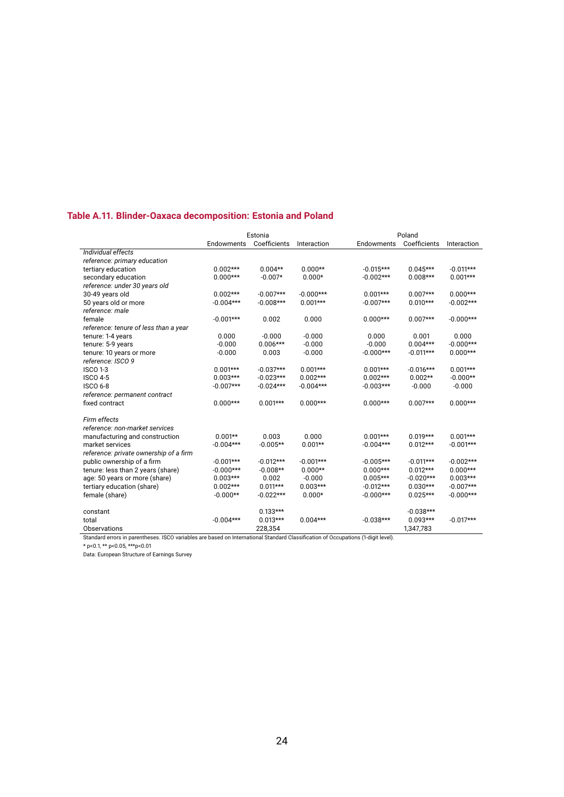### **Table A.11. Blinder-Oaxaca decomposition: Estonia and Poland**

|                                                                                                                                   |             | Estonia      |             | Poland      |              |             |  |
|-----------------------------------------------------------------------------------------------------------------------------------|-------------|--------------|-------------|-------------|--------------|-------------|--|
|                                                                                                                                   | Endowments  | Coefficients | Interaction | Endowments  | Coefficients | Interaction |  |
| Individual effects                                                                                                                |             |              |             |             |              |             |  |
| reference: primary education                                                                                                      |             |              |             |             |              |             |  |
| tertiary education                                                                                                                | $0.002***$  | $0.004**$    | $0.000**$   | $-0.015***$ | $0.045***$   | $-0.011***$ |  |
| secondary education                                                                                                               | $0.000***$  | $-0.007*$    | $0.000*$    | $-0.002***$ | $0.008***$   | $0.001***$  |  |
| reference: under 30 years old                                                                                                     |             |              |             |             |              |             |  |
| 30-49 years old                                                                                                                   | $0.002***$  | $-0.007***$  | $-0.000***$ | $0.001***$  | $0.007***$   | $0.000***$  |  |
| 50 years old or more                                                                                                              | $-0.004***$ | $-0.008***$  | $0.001***$  | $-0.007***$ | $0.010***$   | $-0.002***$ |  |
| reference: male                                                                                                                   |             |              |             |             |              |             |  |
| female                                                                                                                            | $-0.001***$ | 0.002        | 0.000       | $0.000***$  | $0.007***$   | $-0.000***$ |  |
| reference: tenure of less than a year                                                                                             |             |              |             |             |              |             |  |
| tenure: 1-4 years                                                                                                                 | 0.000       | $-0.000$     | $-0.000$    | 0.000       | 0.001        | 0.000       |  |
| tenure: 5-9 years                                                                                                                 | $-0.000$    | $0.006***$   | $-0.000$    | $-0.000$    | $0.004***$   | $-0.000***$ |  |
| tenure: 10 years or more                                                                                                          | $-0.000$    | 0.003        | $-0.000$    | $-0.000***$ | $-0.011***$  | $0.000***$  |  |
| reference: ISCO 9                                                                                                                 |             |              |             |             |              |             |  |
| <b>ISCO 1-3</b>                                                                                                                   | $0.001***$  | $-0.037***$  | $0.001***$  | $0.001***$  | $-0.016***$  | $0.001***$  |  |
| <b>ISCO 4-5</b>                                                                                                                   | $0.003***$  | $-0.023***$  | $0.002***$  | $0.002***$  | $0.002**$    | $-0.000**$  |  |
| <b>ISCO 6-8</b>                                                                                                                   | $-0.007***$ | $-0.024***$  | $-0.004***$ | $-0.003***$ | $-0.000$     | $-0.000$    |  |
| reference: permanent contract                                                                                                     |             |              |             |             |              |             |  |
| fixed contract                                                                                                                    | $0.000***$  | $0.001***$   | $0.000***$  | $0.000***$  | $0.007***$   | $0.000***$  |  |
| Firm effects                                                                                                                      |             |              |             |             |              |             |  |
| reference: non-market services                                                                                                    |             |              |             |             |              |             |  |
| manufacturing and construction                                                                                                    | $0.001**$   | 0.003        | 0.000       | $0.001***$  | $0.019***$   | $0.001***$  |  |
| market services                                                                                                                   | $-0.004***$ | $-0.005**$   | $0.001**$   | $-0.004***$ | $0.012***$   | $-0.001***$ |  |
| reference: private ownership of a firm                                                                                            |             |              |             |             |              |             |  |
| public ownership of a firm                                                                                                        | $-0.001***$ | $-0.012***$  | $-0.001***$ | $-0.005***$ | $-0.011***$  | $-0.002***$ |  |
| tenure: less than 2 years (share)                                                                                                 | $-0.000***$ | $-0.008**$   | $0.000**$   | $0.000***$  | $0.012***$   | $0.000***$  |  |
| age: 50 years or more (share)                                                                                                     | $0.003***$  | 0.002        | $-0.000$    | $0.005***$  | $-0.020***$  | $0.003***$  |  |
| tertiary education (share)                                                                                                        | $0.002***$  | $0.011***$   | $0.003***$  | $-0.012***$ | $0.030***$   | $-0.007***$ |  |
| female (share)                                                                                                                    | $-0.000**$  | $-0.022***$  | $0.000*$    | $-0.000***$ | $0.025***$   | $-0.000***$ |  |
| constant                                                                                                                          |             | $0.133***$   |             |             | $-0.038***$  |             |  |
| total                                                                                                                             | $-0.004***$ | $0.013***$   | $0.004***$  | $-0.038***$ | $0.093***$   | $-0.017***$ |  |
| Observations                                                                                                                      |             | 228,354      |             |             | 1,347,783    |             |  |
| Standard errors in parentheses. ISCO variables are based on International Standard Classification of Occupations (1-digit level). |             |              |             |             |              |             |  |

\* p<0.1, \*\* p<0.05, \*\*\*p<0.01